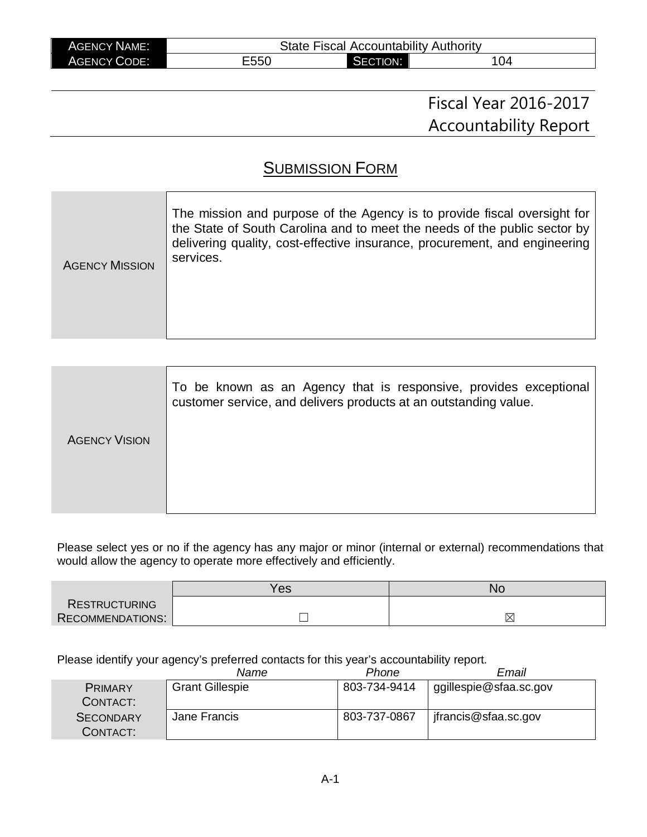| <b>AGENCY NAME:</b> | <b>State Fiscal Accountability Authority</b> |          |     |
|---------------------|----------------------------------------------|----------|-----|
| <b>AGENCY CODE:</b> | E550                                         | SECTION: | 104 |

# Fiscal Year 2016-2017 Accountability Report

# **SUBMISSION FORM**

| The mission and purpose of the Agency is to provide fiscal oversight for<br>the State of South Carolina and to meet the needs of the public sector by<br>delivering quality, cost-effective insurance, procurement, and engineering<br>services.<br><b>AGENCY MISSION</b> |
|---------------------------------------------------------------------------------------------------------------------------------------------------------------------------------------------------------------------------------------------------------------------------|
|---------------------------------------------------------------------------------------------------------------------------------------------------------------------------------------------------------------------------------------------------------------------------|

|                      | To be known as an Agency that is responsive, provides exceptional<br>customer service, and delivers products at an outstanding value. |
|----------------------|---------------------------------------------------------------------------------------------------------------------------------------|
| <b>AGENCY VISION</b> |                                                                                                                                       |
|                      |                                                                                                                                       |
|                      |                                                                                                                                       |
|                      |                                                                                                                                       |

Please select yes or no if the agency has any major or minor (internal or external) recommendations that would allow the agency to operate more effectively and efficiently.

|                         | Yes | NC |  |
|-------------------------|-----|----|--|
| <b>RESTRUCTURING</b>    |     |    |  |
| <b>RECOMMENDATIONS:</b> |     | IX |  |

Please identify your agency's preferred contacts for this year's accountability report.

|                              | Name                   | Phone        | Email                  |
|------------------------------|------------------------|--------------|------------------------|
| <b>PRIMARY</b><br>CONTACT:   | <b>Grant Gillespie</b> | 803-734-9414 | ggillespie@sfaa.sc.gov |
| <b>SECONDARY</b><br>CONTACT: | Jane Francis           | 803-737-0867 | jfrancis@sfaa.sc.gov   |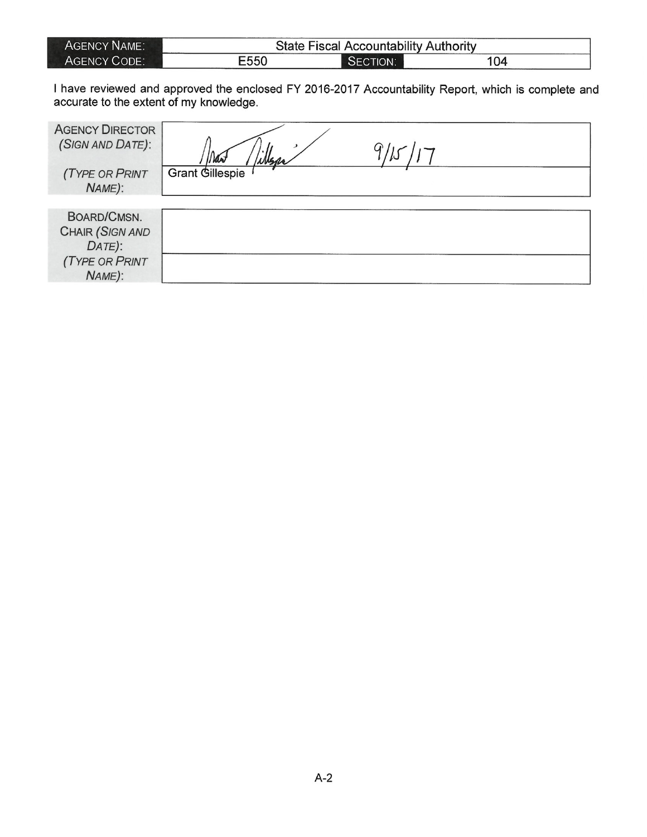| AGENCY NAME: | <b>State Fiscal Accountability Authority</b> |          |     |  |
|--------------|----------------------------------------------|----------|-----|--|
| AGENCY CODE: | E550                                         | SECTION: | 104 |  |

I have reviewed and approved the enclosed FY 2016-2017 Accountability Report, which is complete and accurate to the extent of my knowledge.

| <b>AGENCY DIRECTOR</b><br>(SIGN AND DATE):<br><b>(TYPE OR PRINT</b>                | Msa<br><b>Grant Gillespie</b> |  |
|------------------------------------------------------------------------------------|-------------------------------|--|
| NAME):                                                                             |                               |  |
|                                                                                    |                               |  |
| BOARD/CMSN.<br><b>CHAIR (SIGN AND</b><br>DATE):<br><b>(TYPE OR PRINT</b><br>NAME): |                               |  |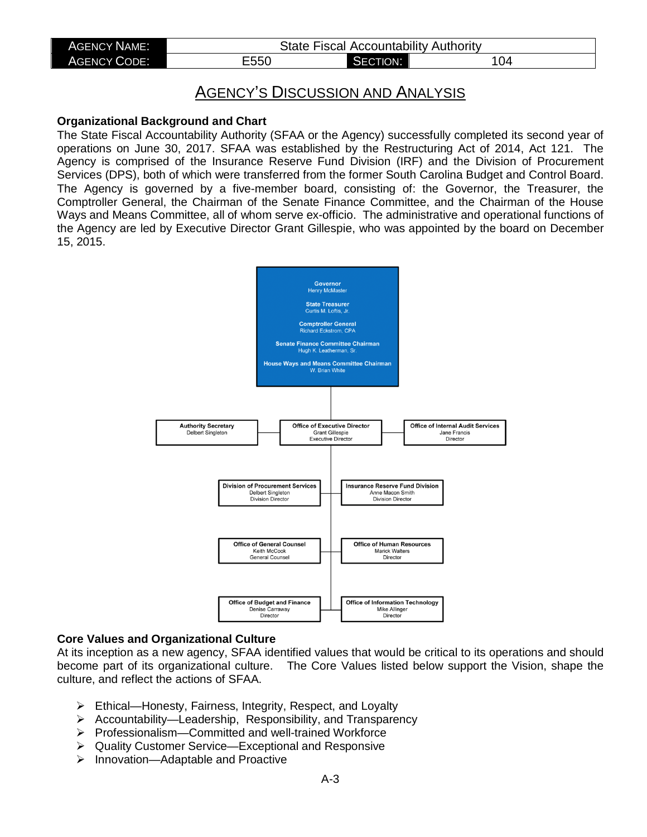| <b>AGENCY NAME:</b> | <b>State Fiscal Accountability Authority</b> |          |     |  |
|---------------------|----------------------------------------------|----------|-----|--|
| <b>AGENCY CODE:</b> | E550                                         | SECTION: | '04 |  |
|                     |                                              |          |     |  |

# AGENCY'S DISCUSSION AND ANALYSIS

#### **Organizational Background and Chart**

The State Fiscal Accountability Authority (SFAA or the Agency) successfully completed its second year of operations on June 30, 2017. SFAA was established by the Restructuring Act of 2014, Act 121. The Agency is comprised of the Insurance Reserve Fund Division (IRF) and the Division of Procurement Services (DPS), both of which were transferred from the former South Carolina Budget and Control Board. The Agency is governed by a five-member board, consisting of: the Governor, the Treasurer, the Comptroller General, the Chairman of the Senate Finance Committee, and the Chairman of the House Ways and Means Committee, all of whom serve ex-officio. The administrative and operational functions of the Agency are led by Executive Director Grant Gillespie, who was appointed by the board on December 15, 2015.



#### **Core Values and Organizational Culture**

At its inception as a new agency, SFAA identified values that would be critical to its operations and should become part of its organizational culture. The Core Values listed below support the Vision, shape the culture, and reflect the actions of SFAA.

- Ethical—Honesty, Fairness, Integrity, Respect, and Loyalty
- $\triangleright$  Accountability—Leadership, Responsibility, and Transparency
- Professionalism—Committed and well-trained Workforce
- Quality Customer Service—Exceptional and Responsive
- $\triangleright$  Innovation—Adaptable and Proactive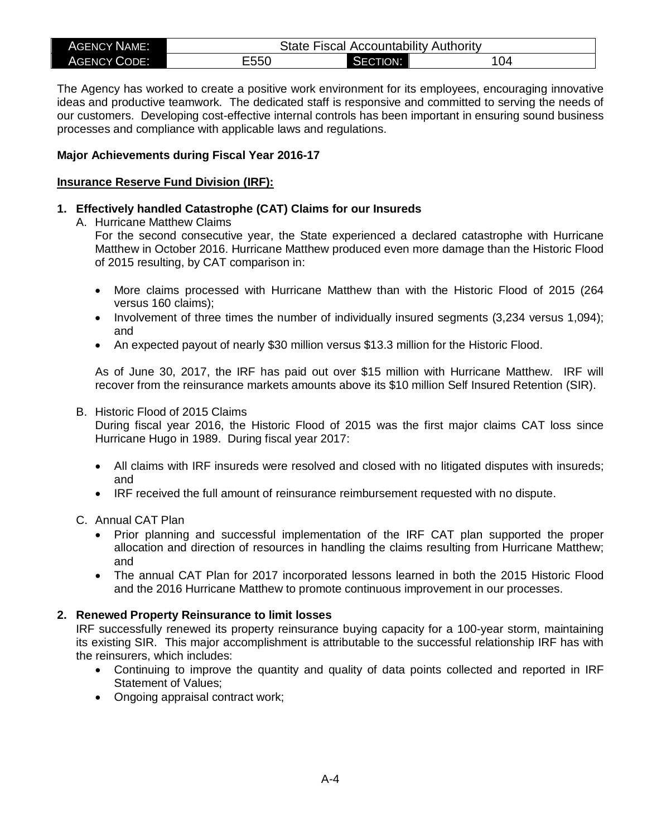| <b>AGENCY NAME:</b> | <b>Accountability Authority</b><br>State<br><b>Fiscal</b> |                      |     |  |
|---------------------|-----------------------------------------------------------|----------------------|-----|--|
| <b>AGENCY CODE:</b> | ---^<br>⊏ວວ∪                                              | <b>CTION:</b><br>5F( | 104 |  |

The Agency has worked to create a positive work environment for its employees, encouraging innovative ideas and productive teamwork. The dedicated staff is responsive and committed to serving the needs of our customers. Developing cost-effective internal controls has been important in ensuring sound business processes and compliance with applicable laws and regulations.

## **Major Achievements during Fiscal Year 2016-17**

#### **Insurance Reserve Fund Division (IRF):**

## **1. Effectively handled Catastrophe (CAT) Claims for our Insureds**

A. Hurricane Matthew Claims

For the second consecutive year, the State experienced a declared catastrophe with Hurricane Matthew in October 2016. Hurricane Matthew produced even more damage than the Historic Flood of 2015 resulting, by CAT comparison in:

- More claims processed with Hurricane Matthew than with the Historic Flood of 2015 (264 versus 160 claims);
- Involvement of three times the number of individually insured segments (3,234 versus 1,094); and
- An expected payout of nearly \$30 million versus \$13.3 million for the Historic Flood.

As of June 30, 2017, the IRF has paid out over \$15 million with Hurricane Matthew. IRF will recover from the reinsurance markets amounts above its \$10 million Self Insured Retention (SIR).

#### B. Historic Flood of 2015 Claims

During fiscal year 2016, the Historic Flood of 2015 was the first major claims CAT loss since Hurricane Hugo in 1989. During fiscal year 2017:

- All claims with IRF insureds were resolved and closed with no litigated disputes with insureds; and
- IRF received the full amount of reinsurance reimbursement requested with no dispute.

## C. Annual CAT Plan

- Prior planning and successful implementation of the IRF CAT plan supported the proper allocation and direction of resources in handling the claims resulting from Hurricane Matthew; and
- The annual CAT Plan for 2017 incorporated lessons learned in both the 2015 Historic Flood and the 2016 Hurricane Matthew to promote continuous improvement in our processes.

#### **2. Renewed Property Reinsurance to limit losses**

IRF successfully renewed its property reinsurance buying capacity for a 100-year storm, maintaining its existing SIR. This major accomplishment is attributable to the successful relationship IRF has with the reinsurers, which includes:

- Continuing to improve the quantity and quality of data points collected and reported in IRF Statement of Values;
- Ongoing appraisal contract work;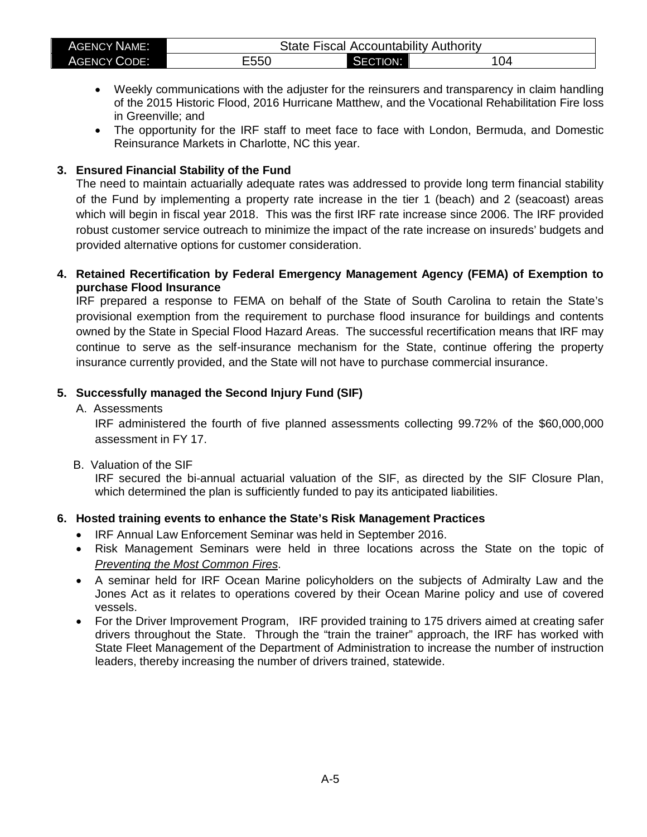| <b>AGENCY NAME:</b> | <b>State Fiscal Accountability Authority</b> |          |     |  |
|---------------------|----------------------------------------------|----------|-----|--|
| <b>AGENCY CODE:</b> | ∃550                                         | SECTION: | 104 |  |

- Weekly communications with the adjuster for the reinsurers and transparency in claim handling of the 2015 Historic Flood, 2016 Hurricane Matthew, and the Vocational Rehabilitation Fire loss in Greenville; and
- The opportunity for the IRF staff to meet face to face with London, Bermuda, and Domestic Reinsurance Markets in Charlotte, NC this year.

## **3. Ensured Financial Stability of the Fund**

The need to maintain actuarially adequate rates was addressed to provide long term financial stability of the Fund by implementing a property rate increase in the tier 1 (beach) and 2 (seacoast) areas which will begin in fiscal year 2018. This was the first IRF rate increase since 2006. The IRF provided robust customer service outreach to minimize the impact of the rate increase on insureds' budgets and provided alternative options for customer consideration.

## **4. Retained Recertification by Federal Emergency Management Agency (FEMA) of Exemption to purchase Flood Insurance**

IRF prepared a response to FEMA on behalf of the State of South Carolina to retain the State's provisional exemption from the requirement to purchase flood insurance for buildings and contents owned by the State in Special Flood Hazard Areas. The successful recertification means that IRF may continue to serve as the self-insurance mechanism for the State, continue offering the property insurance currently provided, and the State will not have to purchase commercial insurance.

# **5. Successfully managed the Second Injury Fund (SIF)**

A. Assessments

IRF administered the fourth of five planned assessments collecting 99.72% of the \$60,000,000 assessment in FY 17.

B. Valuation of the SIF

IRF secured the bi-annual actuarial valuation of the SIF, as directed by the SIF Closure Plan, which determined the plan is sufficiently funded to pay its anticipated liabilities.

# **6. Hosted training events to enhance the State's Risk Management Practices**

- IRF Annual Law Enforcement Seminar was held in September 2016.
- Risk Management Seminars were held in three locations across the State on the topic of *Preventing the Most Common Fires*.
- A seminar held for IRF Ocean Marine policyholders on the subjects of Admiralty Law and the Jones Act as it relates to operations covered by their Ocean Marine policy and use of covered vessels.
- For the Driver Improvement Program, IRF provided training to 175 drivers aimed at creating safer drivers throughout the State. Through the "train the trainer" approach, the IRF has worked with State Fleet Management of the Department of Administration to increase the number of instruction leaders, thereby increasing the number of drivers trained, statewide.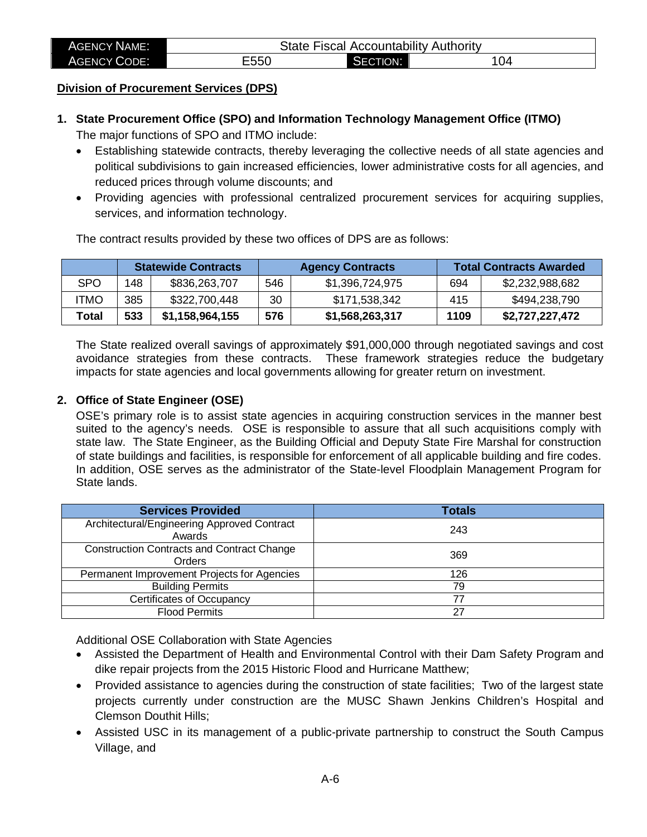| <b>AGENCY NAME:</b> | <b>State Fiscal Accountability Authority</b> |          |     |
|---------------------|----------------------------------------------|----------|-----|
| <b>AGENCY CODE:</b> | E550                                         | SECTION: | 104 |

## **Division of Procurement Services (DPS)**

**1. State Procurement Office (SPO) and Information Technology Management Office (ITMO)**

The major functions of SPO and ITMO include:

- Establishing statewide contracts, thereby leveraging the collective needs of all state agencies and political subdivisions to gain increased efficiencies, lower administrative costs for all agencies, and reduced prices through volume discounts; and
- Providing agencies with professional centralized procurement services for acquiring supplies, services, and information technology.

The contract results provided by these two offices of DPS are as follows:

|       | <b>Statewide Contracts</b> |                 | <b>Agency Contracts</b> |                 | <b>Total Contracts Awarded</b> |                 |
|-------|----------------------------|-----------------|-------------------------|-----------------|--------------------------------|-----------------|
| SPO   | 148                        | \$836,263,707   | 546                     | \$1,396,724,975 | 694                            | \$2,232,988,682 |
| itmo  | 385                        | \$322,700,448   | 30                      | \$171,538,342   | 415                            | \$494,238,790   |
| Total | 533                        | \$1,158,964,155 | 576                     | \$1,568,263,317 | 1109                           | \$2,727,227,472 |

The State realized overall savings of approximately \$91,000,000 through negotiated savings and cost avoidance strategies from these contracts. These framework strategies reduce the budgetary impacts for state agencies and local governments allowing for greater return on investment.

#### **2. Office of State Engineer (OSE)**

OSE's primary role is to assist state agencies in acquiring construction services in the manner best suited to the agency's needs. OSE is responsible to assure that all such acquisitions comply with state law. The State Engineer, as the Building Official and Deputy State Fire Marshal for construction of state buildings and facilities, is responsible for enforcement of all applicable building and fire codes. In addition, OSE serves as the administrator of the State-level Floodplain Management Program for State lands.

| <b>Services Provided</b>                                    | <b>Totals</b> |
|-------------------------------------------------------------|---------------|
| Architectural/Engineering Approved Contract<br>Awards       | 243           |
| <b>Construction Contracts and Contract Change</b><br>Orders | 369           |
| Permanent Improvement Projects for Agencies                 | 126           |
| <b>Building Permits</b>                                     | 79            |
| <b>Certificates of Occupancy</b>                            | 77            |
| <b>Flood Permits</b>                                        | 27            |

Additional OSE Collaboration with State Agencies

- Assisted the Department of Health and Environmental Control with their Dam Safety Program and dike repair projects from the 2015 Historic Flood and Hurricane Matthew;
- Provided assistance to agencies during the construction of state facilities; Two of the largest state projects currently under construction are the MUSC Shawn Jenkins Children's Hospital and Clemson Douthit Hills;
- Assisted USC in its management of a public-private partnership to construct the South Campus Village, and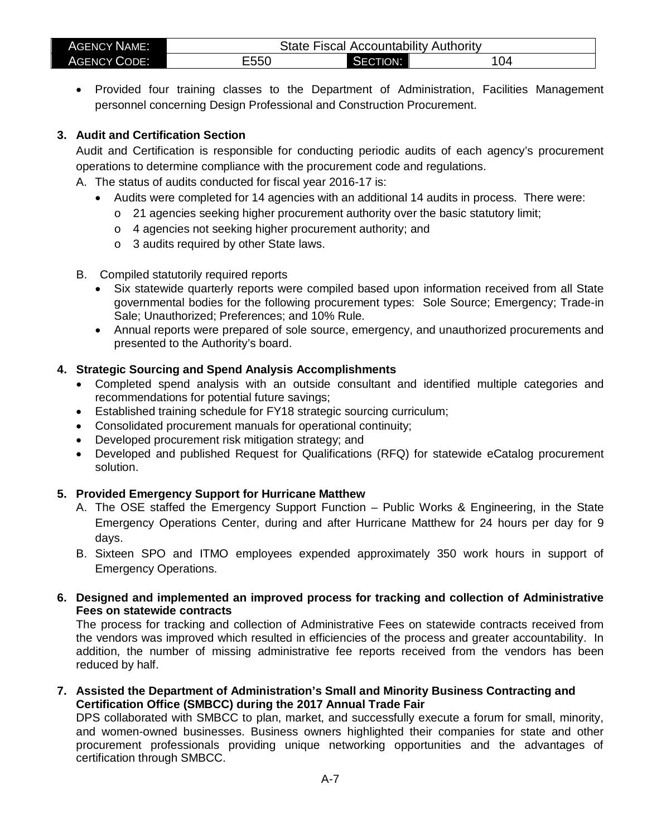| <b>AGENCY NAME:</b> | State Fiscal Accountability Authority |              |     |  |  |  |  |  |
|---------------------|---------------------------------------|--------------|-----|--|--|--|--|--|
| <b>AGENCY CODE:</b> | E550                                  | CTION:<br>71 | 104 |  |  |  |  |  |

• Provided four training classes to the Department of Administration, Facilities Management personnel concerning Design Professional and Construction Procurement.

# **3. Audit and Certification Section**

Audit and Certification is responsible for conducting periodic audits of each agency's procurement operations to determine compliance with the procurement code and regulations.

- A. The status of audits conducted for fiscal year 2016-17 is:
	- Audits were completed for 14 agencies with an additional 14 audits in process. There were:
		- o 21 agencies seeking higher procurement authority over the basic statutory limit;
		- o 4 agencies not seeking higher procurement authority; and
		- o 3 audits required by other State laws.
- B. Compiled statutorily required reports
	- Six statewide quarterly reports were compiled based upon information received from all State governmental bodies for the following procurement types: Sole Source; Emergency; Trade-in Sale; Unauthorized; Preferences; and 10% Rule.
	- Annual reports were prepared of sole source, emergency, and unauthorized procurements and presented to the Authority's board.

# **4. Strategic Sourcing and Spend Analysis Accomplishments**

- Completed spend analysis with an outside consultant and identified multiple categories and recommendations for potential future savings;
- Established training schedule for FY18 strategic sourcing curriculum;
- Consolidated procurement manuals for operational continuity;
- Developed procurement risk mitigation strategy; and
- Developed and published Request for Qualifications (RFQ) for statewide eCatalog procurement solution.

# **5. Provided Emergency Support for Hurricane Matthew**

- A. The OSE staffed the Emergency Support Function Public Works & Engineering, in the State Emergency Operations Center, during and after Hurricane Matthew for 24 hours per day for 9 days.
- B. Sixteen SPO and ITMO employees expended approximately 350 work hours in support of Emergency Operations.
- **6. Designed and implemented an improved process for tracking and collection of Administrative Fees on statewide contracts**

The process for tracking and collection of Administrative Fees on statewide contracts received from the vendors was improved which resulted in efficiencies of the process and greater accountability. In addition, the number of missing administrative fee reports received from the vendors has been reduced by half.

**7. Assisted the Department of Administration's Small and Minority Business Contracting and Certification Office (SMBCC) during the 2017 Annual Trade Fair**

DPS collaborated with SMBCC to plan, market, and successfully execute a forum for small, minority, and women-owned businesses. Business owners highlighted their companies for state and other procurement professionals providing unique networking opportunities and the advantages of certification through SMBCC.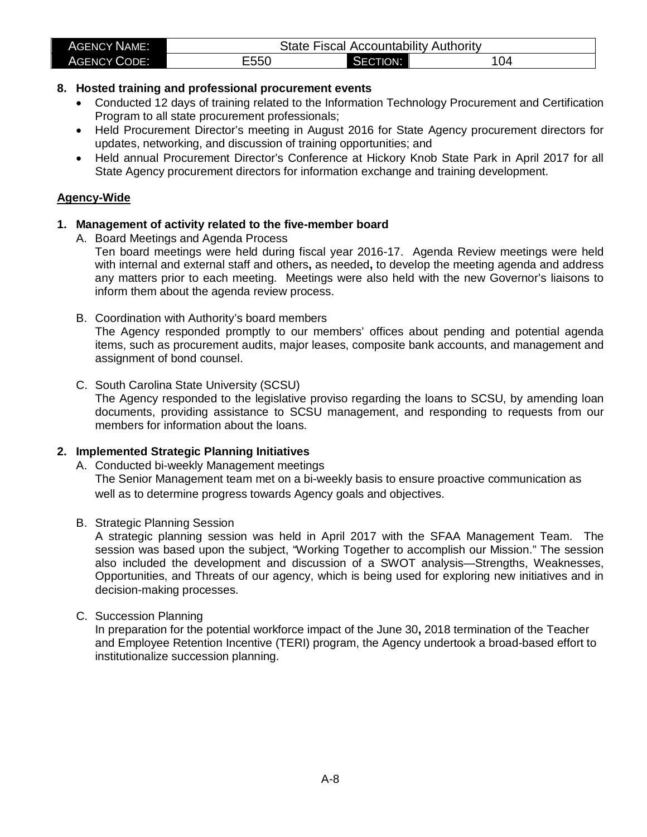| <b>AGENCY NAME:</b> |      |          | State Fiscal Accountability Authority |
|---------------------|------|----------|---------------------------------------|
| <b>AGENCY CODE:</b> | E550 | SECTION: | 04                                    |

## **8. Hosted training and professional procurement events**

- Conducted 12 days of training related to the Information Technology Procurement and Certification Program to all state procurement professionals;
- Held Procurement Director's meeting in August 2016 for State Agency procurement directors for updates, networking, and discussion of training opportunities; and
- Held annual Procurement Director's Conference at Hickory Knob State Park in April 2017 for all State Agency procurement directors for information exchange and training development.

## **Agency-Wide**

## **1. Management of activity related to the five-member board**

A. Board Meetings and Agenda Process

Ten board meetings were held during fiscal year 2016-17. Agenda Review meetings were held with internal and external staff and others**,** as needed**,** to develop the meeting agenda and address any matters prior to each meeting. Meetings were also held with the new Governor's liaisons to inform them about the agenda review process.

- B. Coordination with Authority's board members The Agency responded promptly to our members' offices about pending and potential agenda items, such as procurement audits, major leases, composite bank accounts, and management and assignment of bond counsel.
- C. South Carolina State University (SCSU)

The Agency responded to the legislative proviso regarding the loans to SCSU, by amending loan documents, providing assistance to SCSU management, and responding to requests from our members for information about the loans.

## **2. Implemented Strategic Planning Initiatives**

- A. Conducted bi-weekly Management meetings The Senior Management team met on a bi-weekly basis to ensure proactive communication as well as to determine progress towards Agency goals and objectives.
- B. Strategic Planning Session

A strategic planning session was held in April 2017 with the SFAA Management Team. The session was based upon the subject, "Working Together to accomplish our Mission." The session also included the development and discussion of a SWOT analysis—Strengths, Weaknesses, Opportunities, and Threats of our agency, which is being used for exploring new initiatives and in decision-making processes.

## C. Succession Planning

In preparation for the potential workforce impact of the June 30**,** 2018 termination of the Teacher and Employee Retention Incentive (TERI) program, the Agency undertook a broad-based effort to institutionalize succession planning.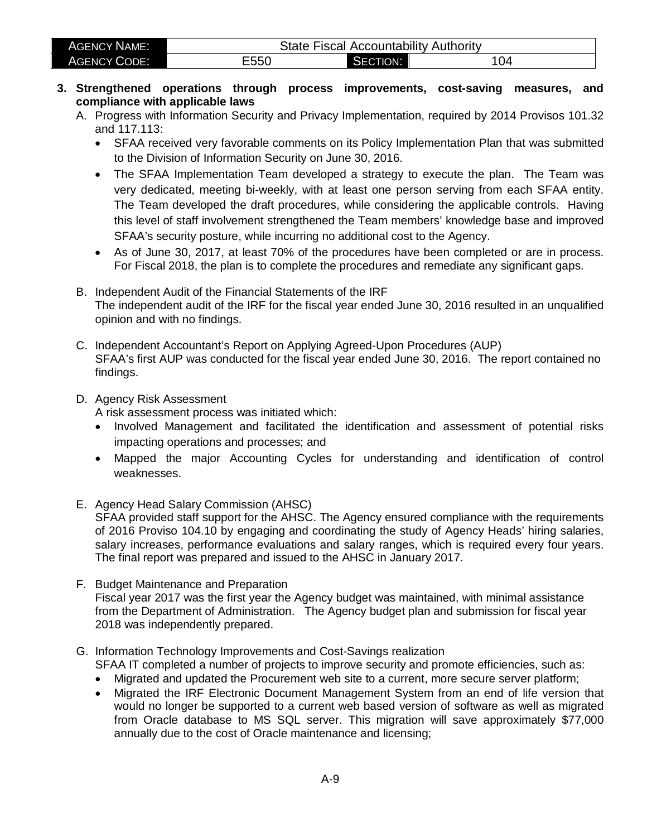| <b>AGENCY NAME:</b> | State<br><b>Fiscal</b> |                       | ' Accountability Authority |
|---------------------|------------------------|-----------------------|----------------------------|
| <b>AGENCY CODE:</b> | Ξ550                   | <b>ECTION:</b><br>ञ⊐∟ | 04                         |

- **3. Strengthened operations through process improvements, cost-saving measures, and compliance with applicable laws** 
	- A. Progress with Information Security and Privacy Implementation, required by 2014 Provisos 101.32 and 117.113:
		- SFAA received very favorable comments on its Policy Implementation Plan that was submitted to the Division of Information Security on June 30, 2016.
		- The SFAA Implementation Team developed a strategy to execute the plan. The Team was very dedicated, meeting bi-weekly, with at least one person serving from each SFAA entity. The Team developed the draft procedures, while considering the applicable controls. Having this level of staff involvement strengthened the Team members' knowledge base and improved SFAA's security posture, while incurring no additional cost to the Agency.
		- As of June 30, 2017, at least 70% of the procedures have been completed or are in process. For Fiscal 2018, the plan is to complete the procedures and remediate any significant gaps.
	- B. Independent Audit of the Financial Statements of the IRF The independent audit of the IRF for the fiscal year ended June 30, 2016 resulted in an unqualified opinion and with no findings.
	- C. Independent Accountant's Report on Applying Agreed-Upon Procedures (AUP) SFAA's first AUP was conducted for the fiscal year ended June 30, 2016. The report contained no findings.
	- D. Agency Risk Assessment

A risk assessment process was initiated which:

- Involved Management and facilitated the identification and assessment of potential risks impacting operations and processes; and
- Mapped the major Accounting Cycles for understanding and identification of control weaknesses.
- E. Agency Head Salary Commission (AHSC)

SFAA provided staff support for the AHSC. The Agency ensured compliance with the requirements of 2016 Proviso 104.10 by engaging and coordinating the study of Agency Heads' hiring salaries, salary increases, performance evaluations and salary ranges, which is required every four years. The final report was prepared and issued to the AHSC in January 2017.

F. Budget Maintenance and Preparation Fiscal year 2017 was the first year the Agency budget was maintained, with minimal assistance from the Department of Administration. The Agency budget plan and submission for fiscal year 2018 was independently prepared.

# G. Information Technology Improvements and Cost-Savings realization

SFAA IT completed a number of projects to improve security and promote efficiencies, such as:

- Migrated and updated the Procurement web site to a current, more secure server platform;
- Migrated the IRF Electronic Document Management System from an end of life version that would no longer be supported to a current web based version of software as well as migrated from Oracle database to MS SQL server. This migration will save approximately \$77,000 annually due to the cost of Oracle maintenance and licensing;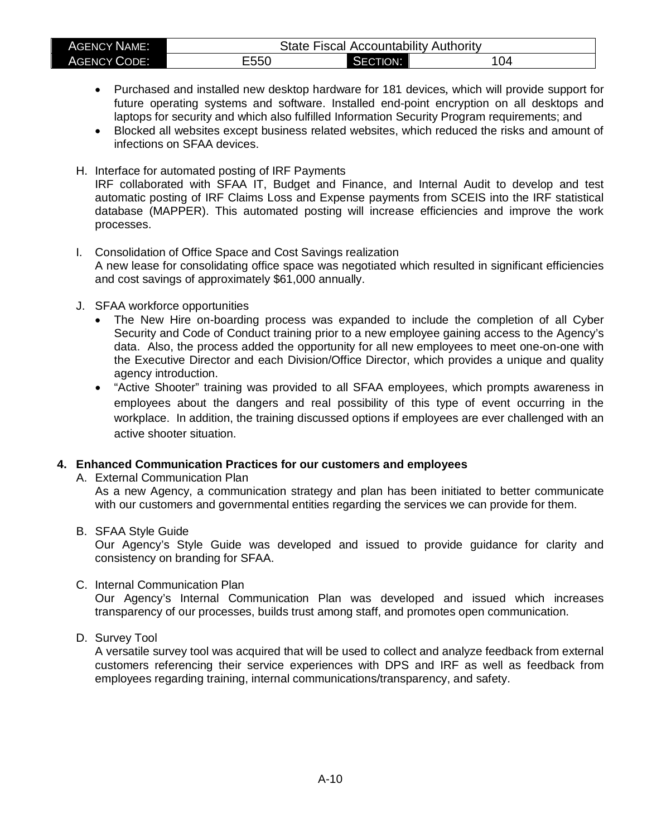| <b>AGENCY NAME:</b> | <b>State Fiscal Accountability Authority</b> |          |     |  |  |  |  |  |
|---------------------|----------------------------------------------|----------|-----|--|--|--|--|--|
| <b>AGENCY CODE:</b> | E550                                         | SECTION: | 104 |  |  |  |  |  |

- Purchased and installed new desktop hardware for 181 devices, which will provide support for future operating systems and software. Installed end-point encryption on all desktops and laptops for security and which also fulfilled Information Security Program requirements; and
- Blocked all websites except business related websites, which reduced the risks and amount of infections on SFAA devices.
- H. Interface for automated posting of IRF Payments IRF collaborated with SFAA IT, Budget and Finance, and Internal Audit to develop and test automatic posting of IRF Claims Loss and Expense payments from SCEIS into the IRF statistical database (MAPPER). This automated posting will increase efficiencies and improve the work processes.
- I. Consolidation of Office Space and Cost Savings realization A new lease for consolidating office space was negotiated which resulted in significant efficiencies and cost savings of approximately \$61,000 annually.
- J. SFAA workforce opportunities
	- The New Hire on-boarding process was expanded to include the completion of all Cyber Security and Code of Conduct training prior to a new employee gaining access to the Agency's data. Also, the process added the opportunity for all new employees to meet one-on-one with the Executive Director and each Division/Office Director, which provides a unique and quality agency introduction.
	- "Active Shooter" training was provided to all SFAA employees, which prompts awareness in employees about the dangers and real possibility of this type of event occurring in the workplace. In addition, the training discussed options if employees are ever challenged with an active shooter situation.

## **4. Enhanced Communication Practices for our customers and employees**

A. External Communication Plan

As a new Agency, a communication strategy and plan has been initiated to better communicate with our customers and governmental entities regarding the services we can provide for them.

#### B. SFAA Style Guide

Our Agency's Style Guide was developed and issued to provide guidance for clarity and consistency on branding for SFAA.

C. Internal Communication Plan

Our Agency's Internal Communication Plan was developed and issued which increases transparency of our processes, builds trust among staff, and promotes open communication.

D. Survey Tool

A versatile survey tool was acquired that will be used to collect and analyze feedback from external customers referencing their service experiences with DPS and IRF as well as feedback from employees regarding training, internal communications/transparency, and safety.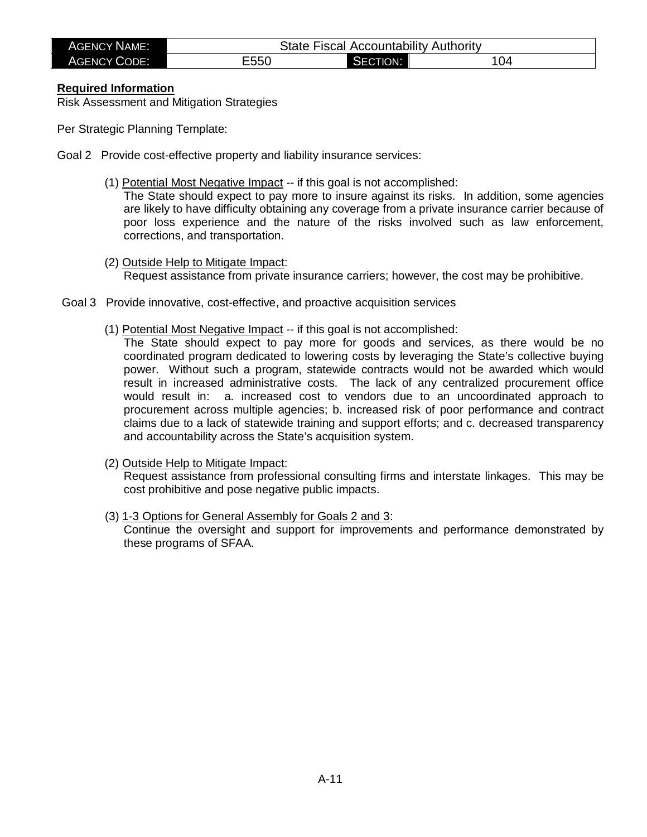| AGENCY NAME:        | State |                    | <b>Fiscal Accountability Authority</b> |
|---------------------|-------|--------------------|----------------------------------------|
| <b>AGENCY CODE:</b> | Ξ550  | <b>CTION:</b><br>- | 04                                     |

#### **Required Information**

Risk Assessment and Mitigation Strategies

Per Strategic Planning Template:

- Goal 2 Provide cost-effective property and liability insurance services:
	- (1) Potential Most Negative Impact -- if this goal is not accomplished:

The State should expect to pay more to insure against its risks. In addition, some agencies are likely to have difficulty obtaining any coverage from a private insurance carrier because of poor loss experience and the nature of the risks involved such as law enforcement, corrections, and transportation.

- (2) Outside Help to Mitigate Impact: Request assistance from private insurance carriers; however, the cost may be prohibitive.
- Goal 3 Provide innovative, cost-effective, and proactive acquisition services
	- (1) Potential Most Negative Impact -- if this goal is not accomplished:
		- The State should expect to pay more for goods and services, as there would be no coordinated program dedicated to lowering costs by leveraging the State's collective buying power. Without such a program, statewide contracts would not be awarded which would result in increased administrative costs. The lack of any centralized procurement office would result in: a. increased cost to vendors due to an uncoordinated approach to procurement across multiple agencies; b. increased risk of poor performance and contract claims due to a lack of statewide training and support efforts; and c. decreased transparency and accountability across the State's acquisition system.
	- (2) Outside Help to Mitigate Impact:

Request assistance from professional consulting firms and interstate linkages. This may be cost prohibitive and pose negative public impacts.

(3) 1-3 Options for General Assembly for Goals 2 and 3:

Continue the oversight and support for improvements and performance demonstrated by these programs of SFAA.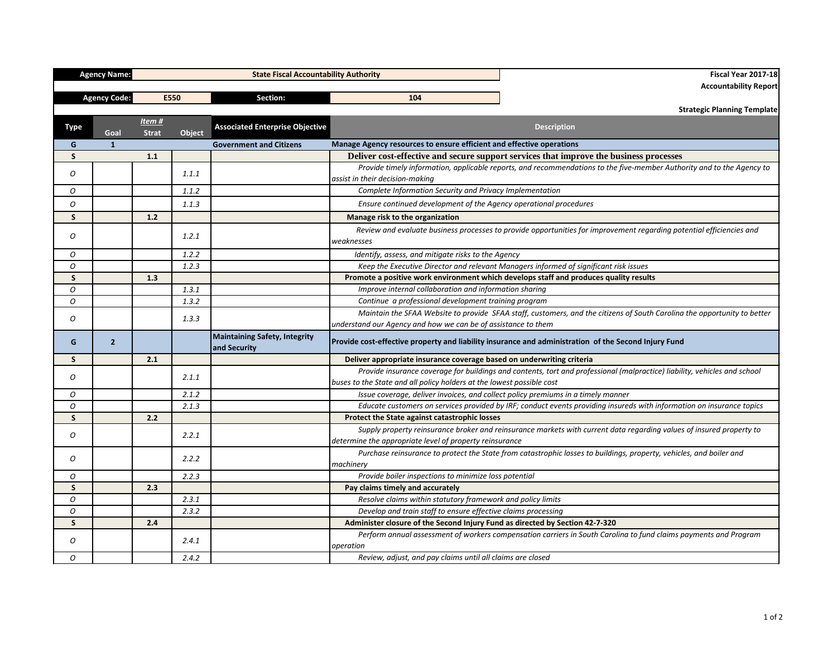| <b>Agency Code:</b><br>E550                            | Section:                                      | 104                                                                                   | <b>Accountability Report</b>                                                                                              |
|--------------------------------------------------------|-----------------------------------------------|---------------------------------------------------------------------------------------|---------------------------------------------------------------------------------------------------------------------------|
|                                                        |                                               |                                                                                       |                                                                                                                           |
|                                                        |                                               |                                                                                       |                                                                                                                           |
|                                                        |                                               |                                                                                       | <b>Strategic Planning Template</b>                                                                                        |
| Item#<br><b>Type</b><br>Object<br>Goal<br><b>Strat</b> | <b>Associated Enterprise Objective</b>        |                                                                                       | <b>Description</b>                                                                                                        |
| $\mathbf{1}$<br>G                                      | <b>Government and Citizens</b>                | Manage Agency resources to ensure efficient and effective operations                  |                                                                                                                           |
| S<br>1.1                                               |                                               |                                                                                       | Deliver cost-effective and secure support services that improve the business processes                                    |
| 0<br>1.1.1                                             |                                               | assist in their decision-making                                                       | Provide timely information, applicable reports, and recommendations to the five-member Authority and to the Agency to     |
| O<br>1.1.2                                             |                                               | Complete Information Security and Privacy Implementation                              |                                                                                                                           |
| 0<br>1.1.3                                             |                                               | Ensure continued development of the Agency operational procedures                     |                                                                                                                           |
| $1.2$<br>S                                             |                                               | Manage risk to the organization                                                       |                                                                                                                           |
| 0<br>1.2.1                                             |                                               | weaknesses                                                                            | Review and evaluate business processes to provide opportunities for improvement regarding potential efficiencies and      |
| 1.2.2<br>O                                             |                                               | Identify, assess, and mitigate risks to the Agency                                    |                                                                                                                           |
| 1.2.3<br>0                                             |                                               |                                                                                       | Keep the Executive Director and relevant Managers informed of significant risk issues                                     |
| S<br>1.3                                               |                                               | Promote a positive work environment which develops staff and produces quality results |                                                                                                                           |
| 1.3.1<br>О                                             |                                               | Improve internal collaboration and information sharing                                |                                                                                                                           |
| О<br>1.3.2                                             |                                               | Continue a professional development training program                                  |                                                                                                                           |
| 1.3.3<br>O                                             |                                               |                                                                                       | Maintain the SFAA Website to provide SFAA staff, customers, and the citizens of South Carolina the opportunity to better  |
|                                                        |                                               | understand our Agency and how we can be of assistance to them                         |                                                                                                                           |
| 2 <sup>2</sup><br>G                                    | Maintaining Safety, Integrity<br>and Security |                                                                                       | Provide cost-effective property and liability insurance and administration of the Second Injury Fund                      |
| 2.1<br>S.                                              |                                               | Deliver appropriate insurance coverage based on underwriting criteria                 |                                                                                                                           |
| 2.1.1<br>0                                             |                                               | buses to the State and all policy holders at the lowest possible cost                 | Provide insurance coverage for buildings and contents, tort and professional (malpractice) liability, vehicles and school |
| 0<br>2.1.2                                             |                                               | Issue coverage, deliver invoices, and collect policy premiums in a timely manner      |                                                                                                                           |
| 0<br>2.1.3                                             |                                               |                                                                                       | Educate customers on services provided by IRF; conduct events providing insureds with information on insurance topics     |
| S.<br>2.2                                              |                                               | Protect the State against catastrophic losses                                         |                                                                                                                           |
| 2.2.1<br>0                                             |                                               | determine the appropriate level of property reinsurance                               | Supply property reinsurance broker and reinsurance markets with current data regarding values of insured property to      |
| O<br>2.2.2                                             |                                               | machinery                                                                             | Purchase reinsurance to protect the State from catastrophic losses to buildings, property, vehicles, and boiler and       |
| 2.2.3<br>O                                             |                                               | Provide boiler inspections to minimize loss potential                                 |                                                                                                                           |
| S<br>2.3                                               |                                               | Pay claims timely and accurately                                                      |                                                                                                                           |
| O<br>2.3.1                                             |                                               | Resolve claims within statutory framework and policy limits                           |                                                                                                                           |
| O<br>2.3.2                                             |                                               | Develop and train staff to ensure effective claims processing                         |                                                                                                                           |
| S<br>2.4                                               |                                               | Administer closure of the Second Injury Fund as directed by Section 42-7-320          |                                                                                                                           |
| 2.4.1<br>O                                             |                                               | operation                                                                             | Perform annual assessment of workers compensation carriers in South Carolina to fund claims payments and Program          |
| 2.4.2<br>0                                             |                                               | Review, adjust, and pay claims until all claims are closed                            |                                                                                                                           |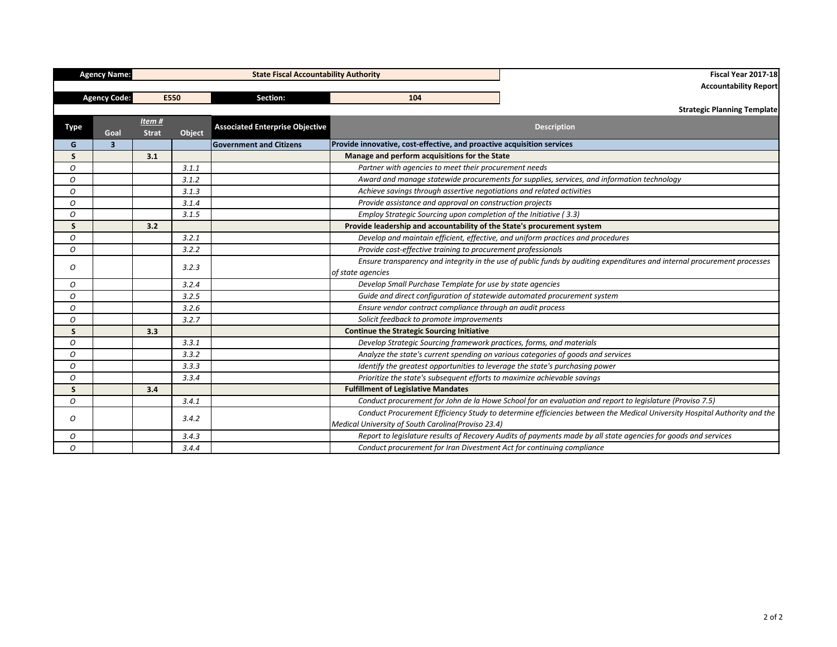|              | <b>Agency Name:</b>     |                       |               | <b>State Fiscal Accountability Authority</b> |                                                                                  | <b>Fiscal Year 2017-18</b>                                                                                               |
|--------------|-------------------------|-----------------------|---------------|----------------------------------------------|----------------------------------------------------------------------------------|--------------------------------------------------------------------------------------------------------------------------|
|              |                         |                       |               |                                              | <b>Accountability Report</b>                                                     |                                                                                                                          |
|              | <b>Agency Code:</b>     |                       | E550          | Section:                                     | 104                                                                              |                                                                                                                          |
|              |                         |                       |               |                                              |                                                                                  | <b>Strategic Planning Template</b>                                                                                       |
| <b>Type</b>  | Goal                    | Item#<br><b>Strat</b> | <b>Object</b> | <b>Associated Enterprise Objective</b>       |                                                                                  | <b>Description</b>                                                                                                       |
| G            | $\overline{\mathbf{3}}$ |                       |               | <b>Government and Citizens</b>               | Provide innovative, cost-effective, and proactive acquisition services           |                                                                                                                          |
| $\mathsf{S}$ |                         | 3.1                   |               |                                              | Manage and perform acquisitions for the State                                    |                                                                                                                          |
| 0            |                         |                       | 3.1.1         |                                              | Partner with agencies to meet their procurement needs                            |                                                                                                                          |
| O            |                         |                       | 3.1.2         |                                              |                                                                                  | Award and manage statewide procurements for supplies, services, and information technology                               |
| O            |                         |                       | 3.1.3         |                                              | Achieve savings through assertive negotiations and related activities            |                                                                                                                          |
| O            |                         |                       | 3.1.4         |                                              | Provide assistance and approval on construction projects                         |                                                                                                                          |
| O            |                         |                       | 3.1.5         |                                              | Employ Strategic Sourcing upon completion of the Initiative (3.3)                |                                                                                                                          |
| $\mathsf{S}$ |                         | 3.2                   |               |                                              | Provide leadership and accountability of the State's procurement system          |                                                                                                                          |
| O            |                         |                       | 3.2.1         |                                              | Develop and maintain efficient, effective, and uniform practices and procedures  |                                                                                                                          |
| O            |                         |                       | 3.2.2         |                                              | Provide cost-effective training to procurement professionals                     |                                                                                                                          |
| O            |                         |                       | 3.2.3         |                                              | of state agencies                                                                | Ensure transparency and integrity in the use of public funds by auditing expenditures and internal procurement processes |
| 0            |                         |                       | 3.2.4         |                                              | Develop Small Purchase Template for use by state agencies                        |                                                                                                                          |
| O            |                         |                       | 3.2.5         |                                              | Guide and direct configuration of statewide automated procurement system         |                                                                                                                          |
| 0            |                         |                       | 3.2.6         |                                              | Ensure vendor contract compliance through an audit process                       |                                                                                                                          |
| O            |                         |                       | 3.2.7         |                                              | Solicit feedback to promote improvements                                         |                                                                                                                          |
| $\mathsf{S}$ |                         | 3.3                   |               |                                              | <b>Continue the Strategic Sourcing Initiative</b>                                |                                                                                                                          |
| O            |                         |                       | 3.3.1         |                                              | Develop Strategic Sourcing framework practices, forms, and materials             |                                                                                                                          |
| O            |                         |                       | 3.3.2         |                                              | Analyze the state's current spending on various categories of goods and services |                                                                                                                          |
| O            |                         |                       | 3.3.3         |                                              | Identify the greatest opportunities to leverage the state's purchasing power     |                                                                                                                          |
| O            |                         |                       | 3.3.4         |                                              | Prioritize the state's subsequent efforts to maximize achievable savings         |                                                                                                                          |
| $\mathsf{S}$ |                         | 3.4                   |               |                                              | <b>Fulfillment of Legislative Mandates</b>                                       |                                                                                                                          |
| O            |                         |                       | 3.4.1         |                                              |                                                                                  | Conduct procurement for John de la Howe School for an evaluation and report to legislature (Proviso 7.5)                 |
| 0            |                         |                       | 3.4.2         |                                              | Medical University of South Carolina(Proviso 23.4)                               | Conduct Procurement Efficiency Study to determine efficiencies between the Medical University Hospital Authority and the |
| O            |                         |                       | 3.4.3         |                                              |                                                                                  | Report to legislature results of Recovery Audits of payments made by all state agencies for goods and services           |
| O            |                         |                       | 3.4.4         |                                              | Conduct procurement for Iran Divestment Act for continuing compliance            |                                                                                                                          |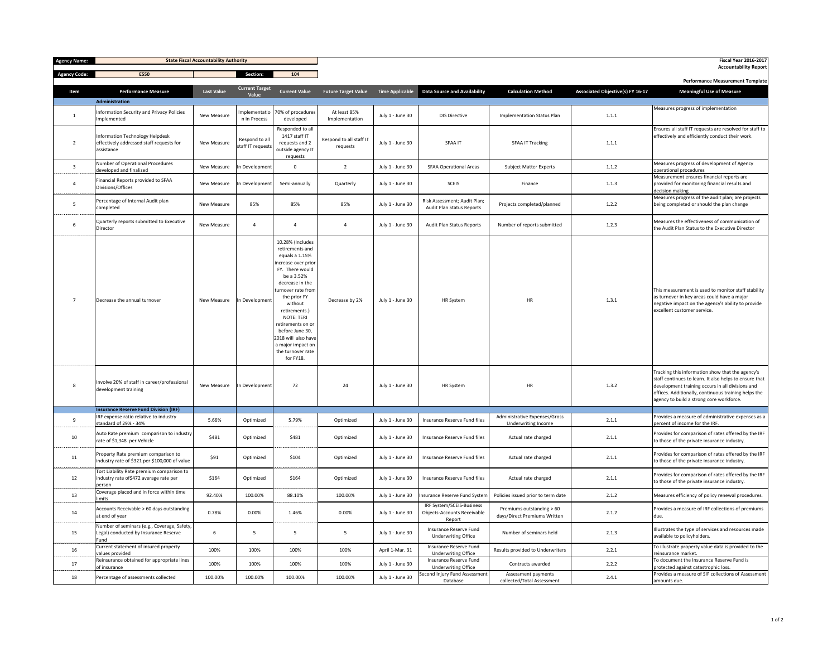| <b>Agency Name:</b>                          |                                                                                                  | <b>State Fiscal Accountability Authority</b> |                                     |                                                                                                                                                                                                                                                                                                                                               |                                     |                        |                                                                           |                                                           |                                         | <b>Fiscal Year 2016-2017</b><br><b>Accountability Report</b>                                                                                                                                                                                                       |
|----------------------------------------------|--------------------------------------------------------------------------------------------------|----------------------------------------------|-------------------------------------|-----------------------------------------------------------------------------------------------------------------------------------------------------------------------------------------------------------------------------------------------------------------------------------------------------------------------------------------------|-------------------------------------|------------------------|---------------------------------------------------------------------------|-----------------------------------------------------------|-----------------------------------------|--------------------------------------------------------------------------------------------------------------------------------------------------------------------------------------------------------------------------------------------------------------------|
| <b>Agency Code:</b>                          | E550                                                                                             |                                              | <b>Section:</b>                     | 104                                                                                                                                                                                                                                                                                                                                           |                                     |                        |                                                                           |                                                           |                                         |                                                                                                                                                                                                                                                                    |
|                                              |                                                                                                  |                                              | <b>Current Target</b>               |                                                                                                                                                                                                                                                                                                                                               |                                     |                        |                                                                           |                                                           |                                         | <b>Performance Measurement Template</b>                                                                                                                                                                                                                            |
| Item                                         | <b>Performance Measure</b><br><b>Administration</b>                                              | <b>Last Value</b>                            | Value                               | <b>Current Value</b>                                                                                                                                                                                                                                                                                                                          | <b>Future Target Value</b>          | <b>Time Applicable</b> | <b>Data Source and Availability</b>                                       | <b>Calculation Method</b>                                 | <b>Associated Objective(s) FY 16-17</b> | <b>Meaningful Use of Measure</b>                                                                                                                                                                                                                                   |
| $\mathbf 1$                                  | <b>Information Security and Privacy Policies</b><br>Implemented                                  | New Measure                                  | n in Process                        | Implementatio   70% of procedures<br>developed                                                                                                                                                                                                                                                                                                | At least 85%<br>Implementation      | July 1 - June 30       | <b>DIS Directive</b>                                                      | <b>Implementation Status Plan</b>                         | 1.1.1                                   | Measures progress of implementation                                                                                                                                                                                                                                |
| ----------------<br>$\overline{2}$           | <b>Information Technology Helpdesk</b><br>effectively addressed staff requests for<br>assistance | New Measure                                  | Respond to all<br>staff IT requests | Responded to all<br>1417 staff IT<br>requests and 2<br>outside agency IT<br>requests                                                                                                                                                                                                                                                          | Respond to all staff IT<br>requests | July 1 - June 30       | <b>SFAA IT</b>                                                            | <b>SFAA IT Tracking</b>                                   | 1.1.1                                   | Ensures all staff IT requests are resolved for staff to<br>effectively and efficiently conduct their work.                                                                                                                                                         |
| -------------                                | Number of Operational Procedures<br>developed and finalized                                      | New Measure                                  | n Development                       | $\Omega$                                                                                                                                                                                                                                                                                                                                      | $\overline{2}$                      | July 1 - June 30       | <b>SFAA Operational Areas</b>                                             | <b>Subject Matter Experts</b>                             | 1.1.2                                   | Measures progress of development of Agency<br>operational procedures                                                                                                                                                                                               |
| -----------                                  | Financial Reports provided to SFAA<br>Divisions/Offices                                          | New Measure                                  | In Development                      | Semi-annually                                                                                                                                                                                                                                                                                                                                 | Quarterly                           | July 1 - June 30       | <b>SCEIS</b>                                                              | Finance                                                   | 1.1.3                                   | Measurement ensures financial reports are<br>provided for monitoring financial results and<br>decision making                                                                                                                                                      |
| 5                                            | Percentage of Internal Audit plan<br>completed                                                   | <b>New Measure</b>                           | 85%                                 | 85%                                                                                                                                                                                                                                                                                                                                           | 85%                                 | July 1 - June 30       | Risk Assessment; Audit Plan;<br><b>Audit Plan Status Reports</b>          | Projects completed/planned                                | 1.2.2                                   | Measures progress of the audit plan; are projects<br>being completed or should the plan change                                                                                                                                                                     |
| .<br>6                                       | Quarterly reports submitted to Executive<br>Director                                             | New Measure                                  |                                     |                                                                                                                                                                                                                                                                                                                                               |                                     | July 1 - June 30       | <b>Audit Plan Status Reports</b>                                          | Number of reports submitted                               | 1.2.3                                   | Measures the effectiveness of communication of<br>the Audit Plan Status to the Executive Director                                                                                                                                                                  |
| ----------------<br>$\overline{7}$           | Decrease the annual turnover                                                                     | New Measure                                  | In Development                      | 10.28% (Includes<br>retirements and<br>equals a 1.15%<br>increase over prior<br>FY. There would<br>be a 3.52%<br>decrease in the<br>turnover rate from<br>the prior FY<br>without<br>retirements.)<br><b>NOTE: TERI</b><br>retirements on or<br>before June 30,<br>2018 will also have<br>a major impact on<br>the turnover rate<br>for FY18. | Decrease by 2%                      | July 1 - June 30       | <b>HR System</b>                                                          | <b>HR</b>                                                 | 1.3.1                                   | This measurement is used to monitor staff stability<br>as turnover in key areas could have a major<br>negative impact on the agency's ability to provide<br>excellent customer service.                                                                            |
| 8                                            | Involve 20% of staff in career/professional<br>development training                              | New Measure                                  | In Development                      | 72                                                                                                                                                                                                                                                                                                                                            | 24                                  | July 1 - June 30       | <b>HR System</b>                                                          | <b>HR</b>                                                 | 1.3.2                                   | Tracking this information show that the agency's<br>staff continues to learn. It also helps to ensure that<br>development training occurs in all divisions and<br>offices. Additionally, continuous training helps the<br>agency to build a strong core workforce. |
|                                              | <b>Insurance Reserve Fund Division (IRF)</b><br>IRF expense ratio relative to industry           |                                              |                                     |                                                                                                                                                                                                                                                                                                                                               |                                     |                        |                                                                           | Administrative Expenses/Gross                             |                                         | Provides a measure of administrative expenses as a                                                                                                                                                                                                                 |
| q<br>-----------                             | standard of 29% - 34%                                                                            | 5.66%                                        | Optimized                           | 5.79%                                                                                                                                                                                                                                                                                                                                         | Optimized                           | July 1 - June 30       | Insurance Reserve Fund files                                              | Underwriting Income                                       | 2.1.1                                   | percent of income for the IRF.                                                                                                                                                                                                                                     |
| 10                                           | Auto Rate premium comparison to industry<br>rate of \$1,348 per Vehicle                          | \$481                                        | Optimized                           | \$481                                                                                                                                                                                                                                                                                                                                         | Optimized                           | July 1 - June 30       | Insurance Reserve Fund files                                              | Actual rate charged                                       | 2.1.1                                   | Provides for comparison of rates offered by the IRF<br>to those of the private insurance industry.                                                                                                                                                                 |
| 11                                           | Property Rate premium comparison to<br>industry rate of \$321 per \$100,000 of value             | \$91                                         | Optimized                           | \$104                                                                                                                                                                                                                                                                                                                                         | Optimized                           | July 1 - June 30       | Insurance Reserve Fund files                                              | Actual rate charged                                       | 2.1.1                                   | Provides for comparison of rates offered by the IRF<br>to those of the private insurance industry.                                                                                                                                                                 |
| 12                                           | Tort Liability Rate premium comparison to<br>industry rate of \$472 average rate per<br>person   | \$164                                        | Optimized                           | \$164                                                                                                                                                                                                                                                                                                                                         | Optimized                           | July 1 - June 30       | Insurance Reserve Fund files                                              | Actual rate charged                                       | 2.1.1                                   | Provides for comparison of rates offered by the IRF<br>to those of the private insurance industry.                                                                                                                                                                 |
| ------------------<br>13<br>---------------- | Coverage placed and in force within time<br>limits                                               | 92.40%                                       | 100.00%                             | 88.10%                                                                                                                                                                                                                                                                                                                                        | 100.00%                             | July 1 - June 30       | Insurance Reserve Fund System                                             | Policies issued prior to term date                        | 2.1.2                                   | Measures efficiency of policy renewal procedures.                                                                                                                                                                                                                  |
| 14<br>-------                                | Accounts Receivable > 60 days outstanding<br>at end of year                                      | 0.78%                                        | 0.00%                               | 1.46%                                                                                                                                                                                                                                                                                                                                         | 0.00%                               | July 1 - June 30       | IRF System/SCEIS-Business<br><b>Objects-Accounts Receivable</b><br>Report | Premiums outstanding > 60<br>days/Direct Premiums Written | 2.1.2                                   | Provides a measure of IRF collections of premiums<br>due.                                                                                                                                                                                                          |
| 15                                           | Number of seminars (e.g., Coverage, Safety,<br>Legal) conducted by Insurance Reserve<br>Fund     | 6                                            | -5                                  | -5                                                                                                                                                                                                                                                                                                                                            | 5                                   | July 1 - June 30       | Insurance Reserve Fund<br><b>Underwriting Office</b>                      | Number of seminars held                                   | 2.1.3                                   | Illustrates the type of services and resources made<br>available to policyholders.                                                                                                                                                                                 |
| --------------<br>16                         | Current statement of insured property<br>values provided                                         | 100%                                         | 100%                                | 100%                                                                                                                                                                                                                                                                                                                                          | 100%                                | April 1-Mar. 31        | Insurance Reserve Fund<br><b>Underwriting Office</b>                      | Results provided to Underwriters                          | 2.2.1                                   | To illustrate property value data is provided to the<br>reinsurance market.                                                                                                                                                                                        |
| -----------<br>17<br>-------------           | Reinsurance obtained for appropriate lines<br>of insurance                                       | 100%                                         | 100%                                | 100%                                                                                                                                                                                                                                                                                                                                          | 100%                                | July 1 - June 30       | Insurance Reserve Fund<br><b>Underwriting Office</b>                      | Contracts awarded                                         | 2.2.2                                   | To document the Insurance Reserve Fund is<br>protected against catastrophic loss.                                                                                                                                                                                  |
| 18                                           | Percentage of assessments collected                                                              | 100.00%                                      | 100.00%                             | 100.00%                                                                                                                                                                                                                                                                                                                                       | 100.00%                             | July 1 - June 30       | Second Injury Fund Assessment<br>Database                                 | Assessment payments<br>collected/Total Assessment         | 2.4.1                                   | Provides a measure of SIF collections of Assessment<br>amounts due.                                                                                                                                                                                                |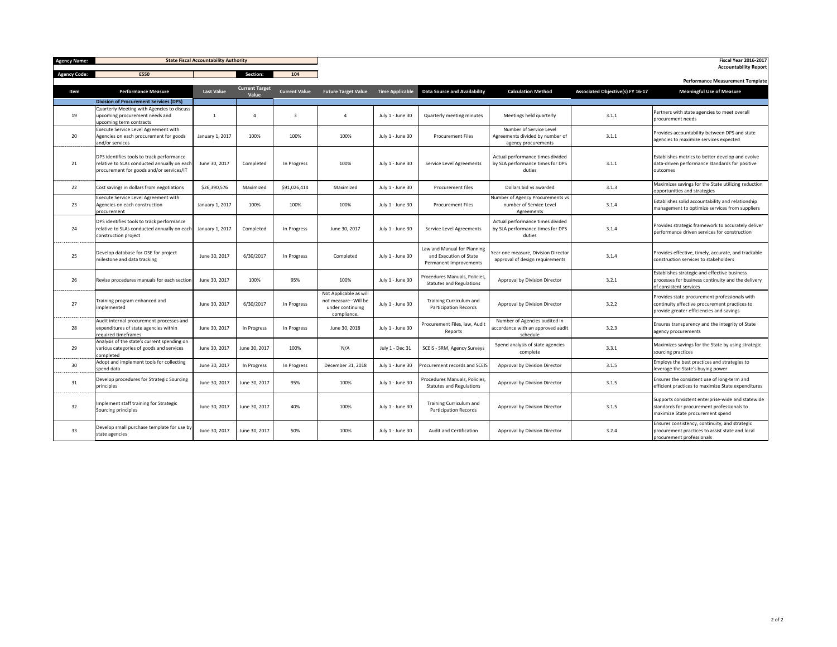| <b>Agency Name:</b>      |                                                                                                                                      | <b>State Fiscal Accountability Authority</b> |                       |                      |                                                                                   |                        |                                                                                 |                                                                                   |                                         | <b>Fiscal Year 2016-2017</b>                                                                                                               |
|--------------------------|--------------------------------------------------------------------------------------------------------------------------------------|----------------------------------------------|-----------------------|----------------------|-----------------------------------------------------------------------------------|------------------------|---------------------------------------------------------------------------------|-----------------------------------------------------------------------------------|-----------------------------------------|--------------------------------------------------------------------------------------------------------------------------------------------|
| <b>Agency Code:</b>      | E550                                                                                                                                 |                                              | Section:              | 104                  |                                                                                   |                        |                                                                                 |                                                                                   |                                         | <b>Accountability Report</b>                                                                                                               |
|                          |                                                                                                                                      |                                              | <b>Current Target</b> |                      |                                                                                   |                        |                                                                                 |                                                                                   |                                         | <b>Performance Measurement Template</b>                                                                                                    |
| Item                     | <b>Performance Measure</b>                                                                                                           | <b>Last Value</b>                            | Value                 | <b>Current Value</b> | <b>Future Target Value</b>                                                        | <b>Time Applicable</b> | <b>Data Source and Availability</b>                                             | <b>Calculation Method</b>                                                         | <b>Associated Objective(s) FY 16-17</b> | <b>Meaningful Use of Measure</b>                                                                                                           |
|                          | <b>Division of Procurement Services (DPS)</b>                                                                                        |                                              |                       |                      |                                                                                   |                        |                                                                                 |                                                                                   |                                         |                                                                                                                                            |
| 19<br>. <b>.</b> .       | Quarterly Meeting with Agencies to discuss<br>upcoming procurement needs and<br>upcoming term contracts                              |                                              |                       |                      |                                                                                   | July 1 - June 30       | Quarterly meeting minutes                                                       | Meetings held quarterly                                                           | 3.1.1                                   | Partners with state agencies to meet overall<br>procurement needs                                                                          |
| 20                       | Execute Service Level Agreement with<br>Agencies on each procurement for goods<br>and/or services                                    | January 1, 2017                              | 100%                  | 100%                 | 100%                                                                              | July 1 - June 30       | <b>Procurement Files</b>                                                        | Number of Service Level<br>Agreements divided by number of<br>agency procurements | 3.1.1                                   | Provides accountability between DPS and state<br>agencies to maximize services expected                                                    |
| 21                       | DPS identifies tools to track performance<br>relative to SLAs conducted annually on each<br>procurement for goods and/or services/IT | June 30, 2017                                | Completed             | In Progress          | 100%                                                                              | July 1 - June 30       | Service Level Agreements                                                        | Actual performance times divided<br>by SLA performance times for DPS<br>duties    | 3.1.1                                   | Establishes metrics to better develop and evolve<br>data-driven performance standards for positive<br>outcomes                             |
| .<br>22<br>. <b>.</b> .  | Cost savings in dollars from negotiations                                                                                            | \$26,390,576                                 | Maximized             | \$91,026,414         | Maximized                                                                         | July 1 - June 30       | Procurement files                                                               | Dollars bid vs awarded                                                            | 3.1.3                                   | Maximizes savings for the State utilizing reduction<br>opportunities and strategies                                                        |
| 23<br>---------------    | Execute Service Level Agreement with<br>Agencies on each construction<br>procurement                                                 | January 1, 2017                              | 100%                  | 100%                 | 100%                                                                              | July 1 - June 30       | <b>Procurement Files</b>                                                        | Number of Agency Procurements vs<br>number of Service Level<br>Agreements         | 3.1.4                                   | Establishes solid accountability and relationship<br>management to optimize services from suppliers                                        |
| 24                       | DPS identifies tools to track performance<br>relative to SLAs conducted annually on each<br>construction project                     | January 1, 2017                              | Completed             | In Progress          | June 30, 2017                                                                     | July 1 - June 30       | Service Level Agreements                                                        | Actual performance times divided<br>by SLA performance times for DPS<br>duties    | 3.1.4                                   | Provides strategic framework to accurately deliver<br>performance driven services for construction                                         |
| .<br>25                  | Develop database for OSE for project<br>milestone and data tracking                                                                  | June 30, 2017                                | 6/30/2017             | In Progress          | Completed                                                                         | July 1 - June 30       | Law and Manual for Planning<br>and Execution of State<br>Permanent Improvements | Year one measure, Division Director<br>approval of design requirements            | 3.1.4                                   | Provides effective, timely, accurate, and trackable<br>construction services to stakeholders                                               |
| ------------------<br>26 | Revise procedures manuals for each section                                                                                           | June 30, 2017                                | 100%                  | 95%                  | 100%                                                                              | July 1 - June 30       | Procedures Manuals, Policies<br><b>Statutes and Regulations</b>                 | Approval by Division Director                                                     | 3.2.1                                   | Establishes strategic and effective business<br>processes for business continuity and the delivery<br>of consistent services               |
| --------------<br>27     | Training program enhanced and<br>implemented                                                                                         | June 30, 2017                                | 6/30/2017             | In Progress          | Not Applicable as will<br>not measure--Will be<br>under continuing<br>compliance. | July 1 - June 30       | <b>Training Curriculum and</b><br><b>Participation Records</b>                  | Approval by Division Director                                                     | 3.2.2                                   | Provides state procurement professionals with<br>continuity effective procurement practices to<br>provide greater efficiencies and savings |
| --------------<br>28     | Audit internal procurement processes and<br>expenditures of state agencies within<br>required timeframes                             | June 30, 2017                                | In Progress           | In Progress          | June 30, 2018                                                                     | July 1 - June 30       | Procurement Files, law, Audit<br>Reports                                        | Number of Agencies audited in<br>accordance with an approved audit<br>schedule    | 3.2.3                                   | Ensures transparency and the integrity of State<br>agency procurements                                                                     |
| 29<br>-----------        | Analysis of the state's current spending on<br>various categories of goods and services<br>completed                                 | June 30, 2017                                | June 30, 2017         | 100%                 | N/A                                                                               | July 1 - Dec 31        | <b>SCEIS - SRM, Agency Surveys</b>                                              | Spend analysis of state agencies<br>complete                                      | 3.3.1                                   | Maximizes savings for the State by using strategic<br>sourcing practices                                                                   |
| 30<br>.                  | Adopt and implement tools for collecting<br>spend data                                                                               | June 30, 2017                                | In Progress           | In Progress          | December 31, 2018                                                                 | July 1 - June 30       | <b>Procurement records and SCEIS</b>                                            | Approval by Division Director                                                     | 3.1.5                                   | Employs the best practices and strategies to<br>leverage the State's buying power                                                          |
| 31<br>----------------   | Develop procedures for Strategic Sourcing<br>principles                                                                              | June 30, 2017                                | June 30, 2017         | 95%                  | 100%                                                                              | July 1 - June 30       | Procedures Manuals, Policies<br><b>Statutes and Regulations</b>                 | Approval by Division Director                                                     | 3.1.5                                   | Ensures the consistent use of long-term and<br>efficient practices to maximize State expenditures                                          |
| 32                       | Implement staff training for Strategic<br>Sourcing principles                                                                        | June 30, 2017                                | June 30, 2017         | 40%                  | 100%                                                                              | July 1 - June 30       | <b>Training Curriculum and</b><br><b>Participation Records</b>                  | Approval by Division Director                                                     | 3.1.5                                   | Supports consistent enterprise-wide and statewide<br>standards for procurement professionals to<br>maximize State procurement spend        |
| 33                       | Develop small purchase template for use by<br>state agencies                                                                         | June 30, 2017                                | June 30, 2017         | 50%                  | 100%                                                                              | July 1 - June 30       | Audit and Certification                                                         | Approval by Division Director                                                     | 3.2.4                                   | Ensures consistency, continuity, and strategic<br>procurement practices to assist state and local<br>procurement professionals             |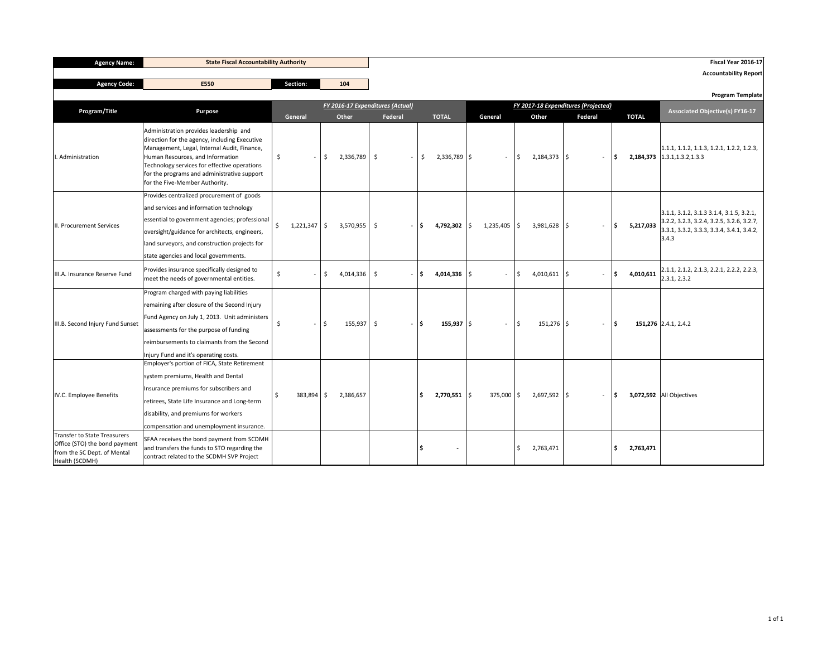| <b>Agency Name:</b>                                                                                                   |                                                                                                                                                                                                                                                                                                             | <b>State Fiscal Accountability Authority</b> |           |     |                                           |    |         |                               |                             |              |                           |                                                |              | Fiscal Year 2016-17                                                                                                                                |
|-----------------------------------------------------------------------------------------------------------------------|-------------------------------------------------------------------------------------------------------------------------------------------------------------------------------------------------------------------------------------------------------------------------------------------------------------|----------------------------------------------|-----------|-----|-------------------------------------------|----|---------|-------------------------------|-----------------------------|--------------|---------------------------|------------------------------------------------|--------------|----------------------------------------------------------------------------------------------------------------------------------------------------|
| <b>Agency Code:</b>                                                                                                   | E550                                                                                                                                                                                                                                                                                                        |                                              | Section:  |     | 104                                       |    |         |                               |                             |              |                           |                                                |              | <b>Accountability Report</b>                                                                                                                       |
|                                                                                                                       |                                                                                                                                                                                                                                                                                                             |                                              |           |     |                                           |    |         |                               |                             |              |                           |                                                |              | <b>Program Template</b>                                                                                                                            |
| Program/Title                                                                                                         | <b>Purpose</b>                                                                                                                                                                                                                                                                                              |                                              | General   |     | FY 2016-17 Expenditures (Actual)<br>Other |    | Federal | <b>TOTAL</b>                  | General                     |              | Other                     | FY 2017-18 Expenditures (Projected)<br>Federal | <b>TOTAL</b> | <b>Associated Objective(s) FY16-17</b>                                                                                                             |
| Administration                                                                                                        | Administration provides leadership and<br>direction for the agency, including Executive<br>Management, Legal, Internal Audit, Finance,<br>Human Resources, and Information<br>Technology services for effective operations<br>for the programs and administrative support<br>for the Five-Member Authority. | \$                                           |           | S.  | 2,336,789                                 | \$ | \$      | $2,336,789$ \$                | $\sim$                      | <sup>S</sup> | $2,184,373$ $\frac{1}{5}$ | -S<br>$\sim$                                   |              | $\vert 1.1.1, 1.1.2, 1.1.3, 1.2.1, 1.2.2, 1.2.3,$<br><b>2,184,373</b> $\vert$ 1.3.1,1.3.2,1.3.3                                                    |
| II. Procurement Services                                                                                              | Provides centralized procurement of goods<br>and services and information technology<br>essential to government agencies; professional<br>oversight/guidance for architects, engineers,<br>land surveyors, and construction projects for<br>state agencies and local governments.                           | $\zeta$                                      | 1,221,347 | -\$ | $3,570,955$ \$                            |    | -\$     | 4,792,302 $\frac{1}{2}$       | 1,235,405                   | \$           | $3,981,628$ \$            | l S<br>$\overline{\phantom{a}}$                | 5,217,033    | $3.1.1, 3.1.2, 3.1.3 3.1.4, 3.1.5, 3.2.1,$<br>$3.2.2$ , 3.2.3, 3.2.4, 3.2.5, 3.2.6, 3.2.7,<br>$3.3.1, 3.3.2, 3.3.3, 3.3.4, 3.4.1, 3.4.2,$<br>3.4.3 |
| III.A. Insurance Reserve Fund                                                                                         | Provides insurance specifically designed to<br>meet the needs of governmental entities.                                                                                                                                                                                                                     | \$                                           |           | \$  | $4,014,336$ \$                            |    | \$      | 4,014,336 $\vert \xi \rangle$ |                             | S.           | $4,010,611$ \$            | $\mathsf{S}$<br>$\overline{\phantom{a}}$       | 4,010,611    | $ 2.1.1, 2.1.2, 2.1.3, 2.2.1, 2.2.2, 2.2.3,$<br>2.3.1, 2.3.2                                                                                       |
| III.B. Second Injury Fund Sunset                                                                                      | Program charged with paying liabilities<br>remaining after closure of the Second Injury<br>Fund Agency on July 1, 2013. Unit administers<br>assessments for the purpose of funding<br>reimbursements to claimants from the Second<br>Injury Fund and it's operating costs.                                  | -\$                                          |           | \$  | $155,937$ \$                              |    | - 1\$   | $155,937$ \$                  |                             | \$           | $151,276$ \$              | ا \$<br>$-$                                    |              | 151,276 2.4.1, 2.4.2                                                                                                                               |
| IV.C. Employee Benefits                                                                                               | Employer's portion of FICA, State Retirement<br>system premiums, Health and Dental<br>Insurance premiums for subscribers and<br>retirees, State Life Insurance and Long-term<br>disability, and premiums for workers<br>compensation and unemployment insurance.                                            |                                              | 383,894   |     | 2,386,657                                 |    |         | $2,770,551$ $\sqrt{5}$        | 375,000 $\vert \xi \rangle$ |              | $2,697,592$ \$            | -S<br>$\overline{\phantom{a}}$                 |              | <b>3,072,592</b> All Objectives                                                                                                                    |
| <b>Transfer to State Treasurers</b><br>Office (STO) the bond payment<br>from the SC Dept. of Mental<br>Health (SCDMH) | SFAA receives the bond payment from SCDMH<br>and transfers the funds to STO regarding the<br>contract related to the SCDMH SVP Project                                                                                                                                                                      |                                              |           |     |                                           |    |         | $\blacksquare$                |                             | S.           | 2,763,471                 | $\mathsf{S}$                                   | 2,763,471    |                                                                                                                                                    |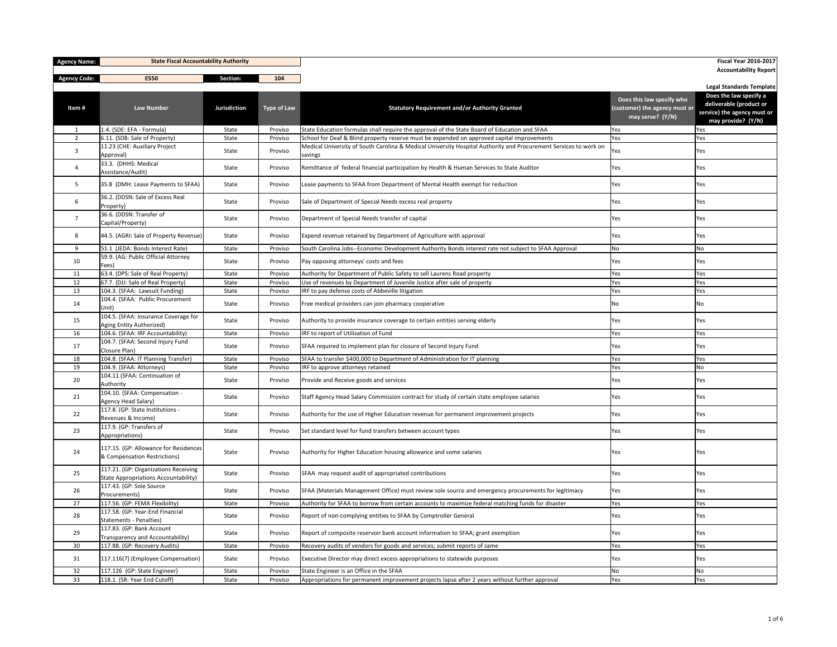| <b>Agency Name:</b> | <b>State Fiscal Accountability Authority</b>                                 |                     |                    |                                                                                                                              |                                                                                | <b>Fiscal Year 2016-2017</b>                                                                           |
|---------------------|------------------------------------------------------------------------------|---------------------|--------------------|------------------------------------------------------------------------------------------------------------------------------|--------------------------------------------------------------------------------|--------------------------------------------------------------------------------------------------------|
| <b>Agency Code:</b> | <b>E550</b>                                                                  | <b>Section:</b>     | 104                |                                                                                                                              |                                                                                | <b>Accountability Report</b>                                                                           |
|                     |                                                                              |                     |                    |                                                                                                                              |                                                                                | <b>Legal Standards Template</b>                                                                        |
| Item#               | <b>Law Number</b>                                                            | <b>Jurisdiction</b> | <b>Type of Law</b> | <b>Statutory Requirement and/or Authority Granted</b>                                                                        | Does this law specify who<br>(customer) the agency must or<br>may serve? (Y/N) | Does the law specify a<br>deliverable (product or<br>service) the agency must or<br>may provide? (Y/N) |
| 1                   | 1.4. (SDE: EFA - Formula)                                                    | State               | Proviso            | State Education formulas shall require the approval of the State Board of Education and SFAA                                 | Yes                                                                            | Yes                                                                                                    |
| $\overline{2}$      | $6.11.$ (SDB: Sale of Property)                                              | State               | Proviso            | School for Deaf & Blind property reserve must be expended on approved capital improvements                                   | Yes                                                                            | Yes                                                                                                    |
| $\mathbf{3}$        | 11.23 (CHE: Auxiliary Project<br>Approval)                                   | State               | Proviso            | Medical University of South Carolina & Medical University Hospital Authority and Procurement Services to work on<br>savings  | Yes                                                                            | Yes                                                                                                    |
| 4                   | 33.3. (DHHS: Medical<br>Assistance/Audit)                                    | State               | Proviso            | Remittance of federal financial participation by Health & Human Services to State Auditor                                    | Yes                                                                            | Yes                                                                                                    |
| 5 <sup>5</sup>      | 35.8 (DMH: Lease Payments to SFAA)                                           | State               | Proviso            | Lease payments to SFAA from Department of Mental Health exempt for reduction                                                 | Yes                                                                            | Yes                                                                                                    |
| 6                   | 36.2. (DDSN: Sale of Excess Real<br>Property)                                | State               | Proviso            | Sale of Department of Special Needs excess real property                                                                     | Yes                                                                            | Yes                                                                                                    |
|                     | 36.6. (DDSN: Transfer of<br>Capital/Property)                                | State               | Proviso            | Department of Special Needs transfer of capital                                                                              | Yes                                                                            | Yes                                                                                                    |
| 8                   | 44.5. (AGRI: Sale of Property Revenue)                                       | State               | Proviso            | Expend revenue retained by Department of Agriculture with approval                                                           | Yes                                                                            | Yes                                                                                                    |
| 9                   | 51.1 (JEDA: Bonds Interest Rate)                                             | State               | Proviso            | South Carolina Jobs--Economic Development Authority Bonds interest rate not subject to SFAA Approval                         | No                                                                             | No                                                                                                     |
| 10                  | 59.9. (AG: Public Official Attorney<br>Fees)                                 | State               | Proviso            | Pay opposing attorneys' costs and fees                                                                                       | Yes                                                                            | Yes                                                                                                    |
| 11                  | 63.4. (DPS: Sale of Real Property)                                           | State               | Proviso            | Authority for Department of Public Safety to sell Laurens Road property                                                      | Yes                                                                            | Yes                                                                                                    |
| 12<br>13            | 67.7. (DJJ: Sale of Real Property)<br>104.3. (SFAA: Lawsuit Funding)         | State<br>State      | Proviso<br>Proviso | Use of revenues by Department of Juvenile Justice after sale of property<br>IRF to pay defense costs of Abbeville litigation | Yes<br>Yes                                                                     | Yes<br>Yes                                                                                             |
| 14                  | 104.4. (SFAA: Public Procurement<br>Unit)                                    | State               | Proviso            | Free medical providers can join pharmacy cooperative                                                                         | No.                                                                            | No.                                                                                                    |
| 15                  | 104.5. (SFAA: Insurance Coverage for<br>Aging Entity Authorized)             | State               | Proviso            | Authority to provide insurance coverage to certain entities serving elderly                                                  | Yes                                                                            | Yes                                                                                                    |
| 16                  | 104.6. (SFAA: IRF Accountability)                                            | State               | Proviso            | IRF to report of Utilization of Fund                                                                                         | Yes                                                                            | Yes                                                                                                    |
| 17                  | 104.7. (SFAA: Second Injury Fund<br>Closure Plan)                            | State               | Proviso            | SFAA required to implement plan for closure of Second Injury Fund                                                            | Yes                                                                            | Yes                                                                                                    |
| 18                  | 104.8. (SFAA: IT Planning Transfer)                                          | State               | Proviso            | SFAA to transfer \$400,000 to Department of Administration for IT planning                                                   | Yes                                                                            | Yes                                                                                                    |
| 19                  | 104.9. (SFAA: Attorneys)                                                     | State               | Proviso            | IRF to approve attorneys retained                                                                                            | Yes                                                                            | No                                                                                                     |
| 20                  | 104.11 (SFAA: Continuation of<br>Authority                                   | State               | Proviso            | Provide and Receive goods and services                                                                                       | Yes                                                                            | Yes                                                                                                    |
| 21                  | 104.10. (SFAA: Compensation -<br>Agency Head Salary)                         | State               | Proviso            | Staff Agency Head Salary Commission contract for study of certain state employee salaries                                    | Yes                                                                            | Yes                                                                                                    |
| 22                  | 117.8. (GP: State Institutions -<br>Revenues & Income)                       | State               | Proviso            | Authority for the use of Higher Education revenue for permanent improvement projects                                         | Yes                                                                            | Yes                                                                                                    |
| 23                  | 117.9. (GP: Transfers of<br>Appropriations)                                  | State               | Proviso            | Set standard level for fund transfers between account types                                                                  | Yes                                                                            | Yes                                                                                                    |
| 24                  | 117.15. (GP: Allowance for Residences<br>& Compensation Restrictions)        | State               | Proviso            | Authority for Higher Education housing allowance and some salaries                                                           | Yes                                                                            | Yes                                                                                                    |
| 25                  | 117.21. (GP: Organizations Receiving<br>State Appropriations Accountability) | State               | Proviso            | SFAA may request audit of appropriated contributions                                                                         | Yes                                                                            | Yes                                                                                                    |
| 26                  | 117.43. (GP: Sole Source<br>Procurements)                                    | State               | Proviso            | SFAA (Materials Management Office) must review sole source and emergency procurements for legitimacy                         | Yes                                                                            | Yes                                                                                                    |
| 27                  | 117.56. (GP: FEMA Flexibility)                                               | State               | Proviso            | Authority for SFAA to borrow from certain accounts to maximize federal matching funds for disaster                           | Yes                                                                            | Yes                                                                                                    |
| 28                  | 117.58. (GP: Year-End Financial<br>Statements - Penalties)                   | State               | Proviso            | Report of non-complying entities to SFAA by Comptroller General                                                              | Yes                                                                            | Yes                                                                                                    |
| 29                  | 117.83. (GP: Bank Account<br>Transparency and Accountability)                | State               | Proviso            | Report of composite reservoir bank account information to SFAA; grant exemption                                              | Yes                                                                            | Yes                                                                                                    |
| 30                  | 117.88. (GP: Recovery Audits)                                                | State               | Proviso            | Recovery audits of vendors for goods and services; submit reports of same                                                    | Yes                                                                            | Yes                                                                                                    |
| 31                  | 117.116(7) (Employee Compensation)                                           | State               | Proviso            | Executive Director may direct excess appropriations to statewide purposes                                                    | Yes                                                                            | Yes                                                                                                    |
| 32                  | 117.126 (GP: State Engineer)                                                 | State               | Proviso            | State Engineer is an Office in the SFAA                                                                                      | No                                                                             | No                                                                                                     |
| 33                  | 118.1. (SR: Year End Cutoff)                                                 | State               | Proviso            | Appropriations for permanent improvement projects lapse after 2 years without further approval                               | Yes                                                                            | Yes                                                                                                    |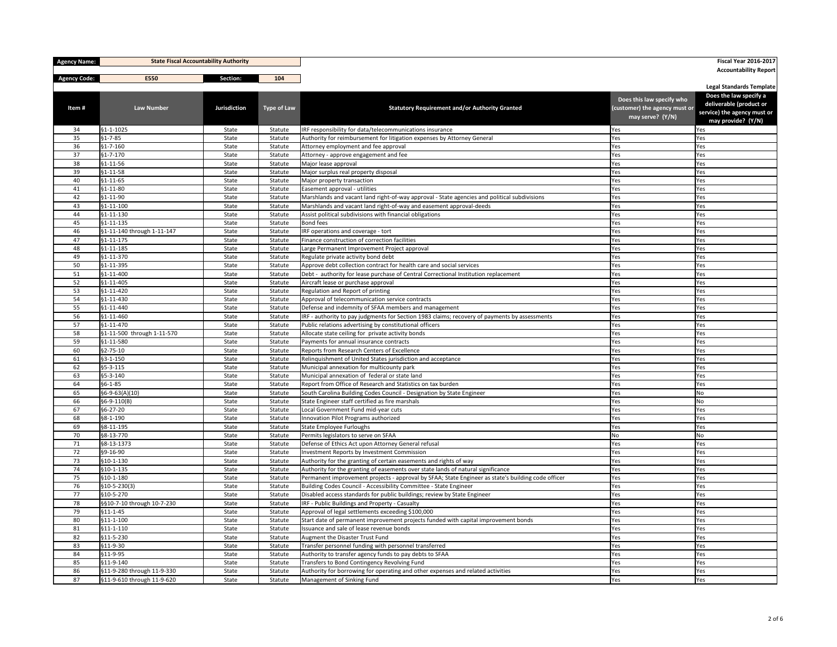| <b>Agency Name:</b> | <b>State Fiscal Accountability Authority</b>  |                     |                    |                                                                                                                                                                                        |                               | <b>Fiscal Year 2016-2017</b>                           |
|---------------------|-----------------------------------------------|---------------------|--------------------|----------------------------------------------------------------------------------------------------------------------------------------------------------------------------------------|-------------------------------|--------------------------------------------------------|
| <b>Agency Code:</b> | <b>E550</b>                                   | <b>Section:</b>     | 104                |                                                                                                                                                                                        |                               | <b>Accountability Report</b>                           |
|                     |                                               |                     |                    |                                                                                                                                                                                        |                               | <b>Legal Standards Template</b>                        |
|                     |                                               |                     |                    |                                                                                                                                                                                        | Does this law specify who     | Does the law specify a                                 |
| Item#               | <b>Law Number</b>                             | <b>Jurisdiction</b> | <b>Type of Law</b> | <b>Statutory Requirement and/or Authority Granted</b>                                                                                                                                  | (customer) the agency must or | deliverable (product or<br>service) the agency must or |
|                     |                                               |                     |                    |                                                                                                                                                                                        | may serve? (Y/N)              | may provide? (Y/N)                                     |
| 34                  | $§1 - 1 - 1025$                               | State               | Statute            | IRF responsibility for data/telecommunications insurance                                                                                                                               | Yes                           | Yes                                                    |
| 35                  | $§1 - 7 - 85$                                 | State               | Statute            | Authority for reimbursement for litigation expenses by Attorney General                                                                                                                | Yes                           | Yes                                                    |
| 36                  | $§1 - 7 - 160$                                | State               | Statute            | Attorney employment and fee approval                                                                                                                                                   | Yes                           | Yes                                                    |
| 37                  | $\frac{1}{91-7-170}$                          | State               | Statute            | Attorney - approve engagement and fee                                                                                                                                                  | Yes                           | Yes                                                    |
| 38                  | $\frac{1}{91-11-56}$                          | State               | Statute            | Major lease approval                                                                                                                                                                   | Yes                           | Yes                                                    |
| 39                  | $§1 - 11 - 58$                                | State               | Statute            | Major surplus real property disposal                                                                                                                                                   | Yes                           | Yes                                                    |
| 40                  | $ $1-11-65$                                   | State               | Statute            | Major property transaction                                                                                                                                                             | Yes                           | Yes                                                    |
| 41                  | $ $1-11-80$                                   | State               | Statute            | Easement approval - utilities                                                                                                                                                          | Yes                           | Yes                                                    |
| 42<br>43            | $\frac{1}{91-11-90}$<br>$§1 - 11 - 100$       | State<br>State      | Statute<br>Statute | Marshlands and vacant land right-of-way approval - State agencies and political subdivisions<br>Marshlands and vacant land right-of-way and easement approval-deeds                    | Yes<br>Yes                    | Yes<br>Yes                                             |
| 44                  | $\frac{1}{91-11-130}$                         | State               | Statute            | Assist political subdivisions with financial obligations                                                                                                                               | Yes                           | Yes                                                    |
| 45                  | $§1 - 11 - 135$                               | State               | Statute            | Bond fees                                                                                                                                                                              | Yes                           | Yes                                                    |
| 46                  | §1-11-140 through 1-11-147                    | State               | Statute            | IRF operations and coverage - tort                                                                                                                                                     | Yes                           | Yes                                                    |
| 47                  | $§1 - 11 - 175$                               | State               | Statute            | Finance construction of correction facilities                                                                                                                                          | Yes                           | Yes                                                    |
| 48                  | $§1 - 11 - 185$                               | State               | Statute            | Large Permanent Improvement Project approval                                                                                                                                           | Yes                           | Yes                                                    |
| 49                  | $\frac{1}{9}$ 1-11-370                        | State               | Statute            | Regulate private activity bond debt                                                                                                                                                    | Yes                           | Yes                                                    |
| 50                  | \$1-11-395                                    | State               | Statute            | Approve debt collection contract for health care and social services                                                                                                                   | Yes                           | Yes                                                    |
| 51                  | $\frac{1}{91-11-400}$                         | State               | Statute            | Debt - authority for lease purchase of Central Correctional Institution replacement                                                                                                    | Yes                           | Yes                                                    |
| 52                  | $§1 - 11 - 405$                               | State               | Statute            | Aircraft lease or purchase approval                                                                                                                                                    | Yes                           | Yes                                                    |
| 53                  | $\frac{1}{91-11-420}$                         | State               | Statute            | Regulation and Report of printing                                                                                                                                                      | Yes                           | Yes                                                    |
| 54                  | $\frac{1}{91-11-430}$                         | State               | Statute            | Approval of telecommunication service contracts                                                                                                                                        | Yes                           | Yes                                                    |
| 55                  | \$1-11-440                                    | State               | Statute            | Defense and indemnity of SFAA members and management                                                                                                                                   | Yes                           | Yes                                                    |
| 56                  | $ $1-11-460$                                  | State               | Statute            | IRF - authority to pay judgments for Section 1983 claims; recovery of payments by assessments                                                                                          | Yes                           | Yes                                                    |
| 57                  | $\frac{1}{91-11-470}$                         | State               | Statute            | Public relations advertising by constitutional officers                                                                                                                                | Yes                           | Yes                                                    |
| 58<br>59            | §1-11-500 through 1-11-570<br>$§1 - 11 - 580$ | State<br>State      | Statute<br>Statute | Allocate state ceiling for private activity bonds<br>Payments for annual insurance contracts                                                                                           | Yes<br>Yes                    | Yes<br>Yes                                             |
| 60                  | $\frac{1}{2}$ -75-10                          | State               | Statute            | Reports from Research Centers of Excellence                                                                                                                                            | Yes                           | Yes                                                    |
| 61                  | $§3 - 1 - 150$                                | State               | Statute            | Relinquishment of United States jurisdiction and acceptance                                                                                                                            | Yes                           | Yes                                                    |
| 62                  | $\frac{55-3-115}{5}$                          | State               | Statute            | Municipal annexation for multicounty park                                                                                                                                              | Yes                           | Yes                                                    |
| 63                  | \$5-3-140                                     | State               | Statute            | Municipal annexation of federal or state land                                                                                                                                          | Yes                           | Yes                                                    |
| 64                  | $§6 - 1 - 85$                                 | State               | Statute            | Report from Office of Research and Statistics on tax burden                                                                                                                            | Yes                           | Yes                                                    |
| 65                  | $ 66-9-63(A)(10) $                            | State               | Statute            | South Carolina Building Codes Council - Designation by State Engineer                                                                                                                  | Yes                           | No                                                     |
| 66                  | $ 66-9-110(B) $                               | State               | Statute            | State Engineer staff certified as fire marshals                                                                                                                                        | Yes                           | No                                                     |
| 67                  | \$6-27-20                                     | State               | Statute            | Local Government Fund mid-year cuts                                                                                                                                                    | Yes                           | Yes                                                    |
| 68                  | §8-1-190                                      | State               | Statute            | Innovation Pilot Programs authorized                                                                                                                                                   | Yes                           | Yes                                                    |
| 69                  | §8-11-195                                     | State               | Statute            | State Employee Furloughs                                                                                                                                                               | Yes                           | Yes                                                    |
| 70                  | §8-13-770                                     | State               | Statute            | Permits legislators to serve on SFAA                                                                                                                                                   | No                            | No                                                     |
| 71                  | §8-13-1373                                    | State               | Statute            | Defense of Ethics Act upon Attorney General refusal                                                                                                                                    | Yes                           | Yes                                                    |
| 72                  | §9-16-90                                      | State               | Statute            | Investment Reports by Investment Commission                                                                                                                                            | Yes                           | Yes                                                    |
| 73                  | $§10-1-130$                                   | State               | Statute            | Authority for the granting of certain easements and rights of way                                                                                                                      | Yes                           | Yes                                                    |
| 74<br>75            | $§10-1-135$<br>$\frac{1}{9}10 - 1 - 180$      | State<br>State      | Statute<br>Statute | Authority for the granting of easements over state lands of natural significance<br>Permanent improvement projects - approval by SFAA; State Engineer as state's building code officer | Yes<br>Yes                    | Yes<br>Yes                                             |
| 76                  | $\vert$ §10-5-230(3)                          | State               | Statute            | Building Codes Council - Accessibility Committee - State Engineer                                                                                                                      | Yes                           | Yes                                                    |
| 77                  | $§10-5-270$                                   | State               | Statute            | Disabled access standards for public buildings; review by State Engineer                                                                                                               | Yes                           | Yes                                                    |
| 78                  | §§10-7-10 through 10-7-230                    | State               | Statute            | IRF - Public Buildings and Property - Casualty                                                                                                                                         | Yes                           | Yes                                                    |
| 79                  | $\frac{1}{9}$ 11-1-45                         | State               | Statute            | Approval of legal settlements exceeding \$100,000                                                                                                                                      | Yes                           | Yes                                                    |
| 80                  | $§11 - 1 - 100$                               | State               | Statute            | Start date of permanent improvement projects funded with capital improvement bonds                                                                                                     | Yes                           | Yes                                                    |
| 81                  | $\frac{1}{9}11 - 1 - 110$                     | State               | Statute            | Issuance and sale of lease revenue bonds                                                                                                                                               | Yes                           | Yes                                                    |
| 82                  | \$11-5-230                                    | State               | Statute            | Augment the Disaster Trust Fund                                                                                                                                                        | Yes                           | Yes                                                    |
| 83                  | $\frac{1}{9}11 - 9 - 30$                      | State               | Statute            | Transfer personnel funding with personnel transferred                                                                                                                                  | Yes                           | Yes                                                    |
| 84                  | $\frac{1}{9}11 - 9 - 95$                      | State               | Statute            | Authority to transfer agency funds to pay debts to SFAA                                                                                                                                | Yes                           | Yes                                                    |
| 85                  | $\frac{1}{9}11 - 9 - 140$                     | State               | Statute            | Transfers to Bond Contingency Revolving Fund                                                                                                                                           | Yes                           | Yes                                                    |
| 86                  | §11-9-280 through 11-9-330                    | State               | Statute            | Authority for borrowing for operating and other expenses and related activities                                                                                                        | Yes                           | Yes                                                    |
| 87                  | §11-9-610 through 11-9-620                    | State               | Statute            | Management of Sinking Fund                                                                                                                                                             | Yes                           | Yes                                                    |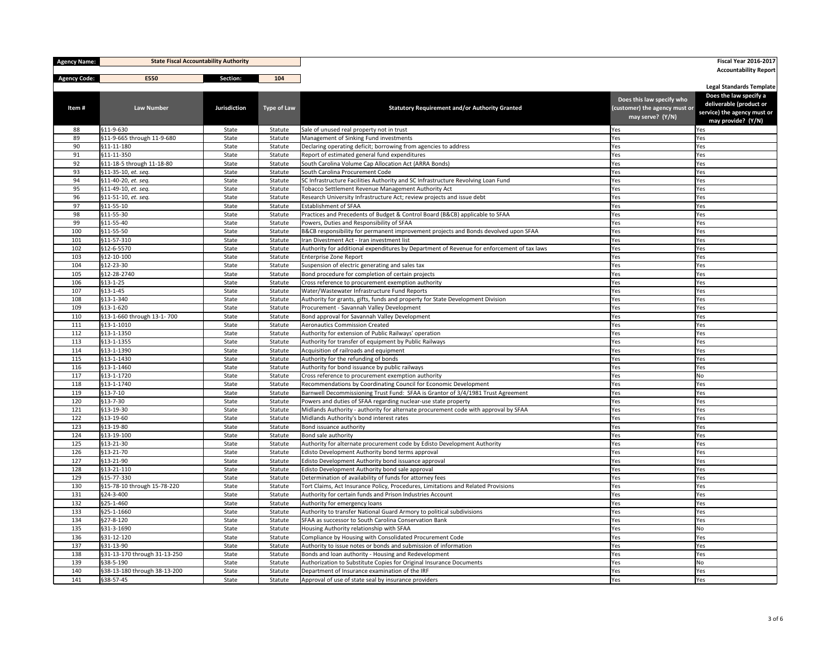| <b>Agency Name:</b> | <b>State Fiscal Accountability Authority</b> |                |                    |                                                                                                                                               |                               | <b>Fiscal Year 2016-2017</b>                           |
|---------------------|----------------------------------------------|----------------|--------------------|-----------------------------------------------------------------------------------------------------------------------------------------------|-------------------------------|--------------------------------------------------------|
| <b>Agency Code:</b> | E550                                         | Section:       | 104                |                                                                                                                                               |                               | <b>Accountability Report</b>                           |
|                     |                                              |                |                    |                                                                                                                                               |                               | <b>Legal Standards Template</b>                        |
|                     |                                              |                |                    |                                                                                                                                               | Does this law specify who     | Does the law specify a                                 |
| Item#               | <b>Law Number</b>                            | Jurisdiction   | <b>Type of Law</b> | <b>Statutory Requirement and/or Authority Granted</b>                                                                                         | (customer) the agency must or | deliverable (product or<br>service) the agency must or |
|                     |                                              |                |                    |                                                                                                                                               | may serve? (Y/N)              | may provide? (Y/N)                                     |
| 88                  | $\frac{1}{9}11 - 9 - 630$                    | State          | Statute            | Sale of unused real property not in trust                                                                                                     | Yes                           | Yes                                                    |
| 89                  | §11-9-665 through 11-9-680                   | State          | Statute            | Management of Sinking Fund investments                                                                                                        | Yes                           | Yes                                                    |
| 90                  | $\frac{511-11-180}{5}$                       | State          | Statute            | Declaring operating deficit; borrowing from agencies to address                                                                               | Yes                           | Yes                                                    |
| 91                  | $\frac{1}{9}11 - 11 - 350$                   | State          | Statute            | Report of estimated general fund expenditures                                                                                                 | Yes                           | Yes                                                    |
| 92                  | §11-18-5 through 11-18-80                    | State          | Statute            | South Carolina Volume Cap Allocation Act (ARRA Bonds)                                                                                         | Yes                           | Yes                                                    |
| 93                  | $\frac{1}{2}11-35-10$ , et. seq.             | State          | Statute            | South Carolina Procurement Code                                                                                                               | Yes                           | Yes                                                    |
| 94<br>95            | §11-40-20, et. seq.<br>§11-49-10, et. seq.   | State<br>State | Statute<br>Statute | SC Infrastructure Facilities Authority and SC Infrastructure Revolving Loan Fund<br>Tobacco Settlement Revenue Management Authority Act       | Yes<br>Yes                    | Yes<br>Yes                                             |
| 96                  | §11-51-10, et. seq.                          | State          | Statute            | Research University Infrastructure Act; review projects and issue debt                                                                        | Yes                           | Yes                                                    |
| 97                  | $\frac{1}{9}$ 11-55-10                       | State          | Statute            | <b>Establishment of SFAA</b>                                                                                                                  | Yes                           | Yes                                                    |
| 98                  | $\frac{1}{9}$ 11-55-30                       | State          | Statute            | Practices and Precedents of Budget & Control Board (B&CB) applicable to SFAA                                                                  | Yes                           | Yes                                                    |
| 99                  | $\frac{1}{9}11 - 55 - 40$                    | State          | Statute            | Powers, Duties and Responsibility of SFAA                                                                                                     | Yes                           | Yes                                                    |
| 100                 | $\frac{1}{9}11 - 55 - 50$                    | State          | Statute            | B&CB responsibility for permanent improvement projects and Bonds devolved upon SFAA                                                           | Yes                           | Yes                                                    |
| 101                 | $\frac{1}{9}$ 11-57-310                      | State          | Statute            | Iran Divestment Act - Iran investment list                                                                                                    | Yes                           | Yes                                                    |
| 102                 | \$12-6-5570                                  | State          | Statute            | Authority for additional expenditures by Department of Revenue for enforcement of tax laws                                                    | Yes                           | Yes                                                    |
| 103                 | $\frac{1}{2}$ 12-10-100                      | State          | Statute            | Enterprise Zone Report                                                                                                                        | Yes                           | Yes                                                    |
| 104                 | $\frac{1}{2}$ \$12-23-30                     | State          | Statute            | Suspension of electric generating and sales tax                                                                                               | Yes                           | Yes                                                    |
| 105<br>106          | \$12-28-2740<br>$§13-1-25$                   | State<br>State | Statute<br>Statute | Bond procedure for completion of certain projects<br>Cross reference to procurement exemption authority                                       | Yes<br>Yes                    | Yes<br>Yes                                             |
| 107                 | $\frac{1}{9}$ 13-1-45                        | State          | Statute            | Water/Wastewater Infrastructure Fund Reports                                                                                                  | Yes                           | Yes                                                    |
| 108                 | \$13-1-340                                   | State          | Statute            | Authority for grants, gifts, funds and property for State Development Division                                                                | Yes                           | Yes                                                    |
| 109                 | $\frac{1}{9}$ 13-1-620                       | State          | Statute            | Procurement - Savannah Valley Development                                                                                                     | Yes                           | Yes                                                    |
| 110                 | §13-1-660 through 13-1-700                   | State          | Statute            | Bond approval for Savannah Valley Development                                                                                                 | Yes                           | Yes                                                    |
| 111                 | $\frac{513-1-1010}{5}$                       | State          | Statute            | Aeronautics Commission Created                                                                                                                | Yes                           | Yes                                                    |
| 112                 | $§13 - 1 - 1350$                             | State          | Statute            | Authority for extension of Public Railways' operation                                                                                         | Yes                           | Yes                                                    |
| 113                 | $\frac{1}{9}$ 13-1-1355                      | State          | Statute            | Authority for transfer of equipment by Public Railways                                                                                        | Yes                           | Yes                                                    |
| 114                 | §13-1-1390                                   | State          | Statute            | Acquisition of railroads and equipment                                                                                                        | Yes                           | Yes                                                    |
| 115                 | §13-1-1430                                   | State          | Statute            | Authority for the refunding of bonds                                                                                                          | Yes                           | Yes                                                    |
| 116                 | §13-1-1460                                   | State          | Statute            | Authority for bond issuance by public railways                                                                                                | Yes                           | Yes                                                    |
| 117                 | §13-1-1720<br>$\frac{1}{9}$ 13-1-1740        | State          | Statute            | Cross reference to procurement exemption authority<br>Recommendations by Coordinating Council for Economic Development                        | Yes                           | No                                                     |
| 118<br>119          | $\frac{1}{9}$ 13-7-10                        | State<br>State | Statute<br>Statute | Barnwell Decommissioning Trust Fund: SFAA is Grantor of 3/4/1981 Trust Agreement                                                              | Yes<br>Yes                    | Yes<br>Yes                                             |
| 120                 | $\frac{1}{9}$ 13-7-30                        | State          | Statute            | Powers and duties of SFAA regarding nuclear-use state property                                                                                | Yes                           | Yes                                                    |
| 121                 | $§13-19-30$                                  | State          | Statute            | Midlands Authority - authority for alternate procurement code with approval by SFAA                                                           | Yes                           | Yes                                                    |
| 122                 | $§13-19-60$                                  | State          | Statute            | Midlands Authority's bond interest rates                                                                                                      | Yes                           | Yes                                                    |
| 123                 | \$13-19-80                                   | State          | Statute            | Bond issuance authority                                                                                                                       | Yes                           | Yes                                                    |
| 124                 | $\frac{1}{9}$ 13-19-100                      | State          | Statute            | Bond sale authority                                                                                                                           | Yes                           | Yes                                                    |
| 125                 | $\frac{1}{9}$ 13-21-30                       | State          | Statute            | Authority for alternate procurement code by Edisto Development Authority                                                                      | Yes                           | Yes                                                    |
| 126                 | $\frac{1}{9}$ 13-21-70                       | State          | Statute            | Edisto Development Authority bond terms approval                                                                                              | Yes                           | Yes                                                    |
| 127                 | $\frac{1}{9}$ 13-21-90                       | State          | Statute            | Edisto Development Authority bond issuance approval                                                                                           | Yes                           | Yes                                                    |
| 128                 | $\frac{1}{9}$ 13-21-110                      | State          | Statute            | Edisto Development Authority bond sale approval                                                                                               | Yes                           | Yes                                                    |
| 129                 | §15-77-330<br>§15-78-10 through 15-78-220    | State          | Statute<br>Statute | Determination of availability of funds for attorney fees<br>Tort Claims, Act Insurance Policy, Procedures, Limitations and Related Provisions | Yes<br>Yes                    | Yes                                                    |
| 130<br>131          | §24-3-400                                    | State<br>State | Statute            | Authority for certain funds and Prison Industries Account                                                                                     | Yes                           | Yes<br>Yes                                             |
| 132                 | \$25-1-460                                   | State          | Statute            | Authority for emergency loans                                                                                                                 | Yes                           | Yes                                                    |
| 133                 | \$25-1-1660                                  | State          | Statute            | Authority to transfer National Guard Armory to political subdivisions                                                                         | Yes                           | Yes                                                    |
| 134                 | $\frac{1}{2}$ \$27-8-120                     | State          | Statute            | SFAA as successor to South Carolina Conservation Bank                                                                                         | Yes                           | Yes                                                    |
| 135                 | §31-3-1690                                   | State          | Statute            | Housing Authority relationship with SFAA                                                                                                      | Yes                           | No                                                     |
| 136                 | \$31-12-120                                  | State          | Statute            | Compliance by Housing with Consolidated Procurement Code                                                                                      | Yes                           | Yes                                                    |
| 137                 | §31-13-90                                    | State          | Statute            | Authority to issue notes or bonds and submission of information                                                                               | Yes                           | Yes                                                    |
| 138                 | §31-13-170 through 31-13-250                 | State          | Statute            | Bonds and loan authority - Housing and Redevelopment                                                                                          | Yes                           | Yes                                                    |
| 139                 | $\frac{1}{9}38 - 5 - 190$                    | State          | Statute            | Authorization to Substitute Copies for Original Insurance Documents                                                                           | Yes                           | No                                                     |
| 140                 | §38-13-180 through 38-13-200                 | State          | Statute            | Department of Insurance examination of the IRF                                                                                                | Yes                           | Yes                                                    |
| 141                 | §38-57-45                                    | State          | Statute            | Approval of use of state seal by insurance providers                                                                                          | Yes                           | Yes                                                    |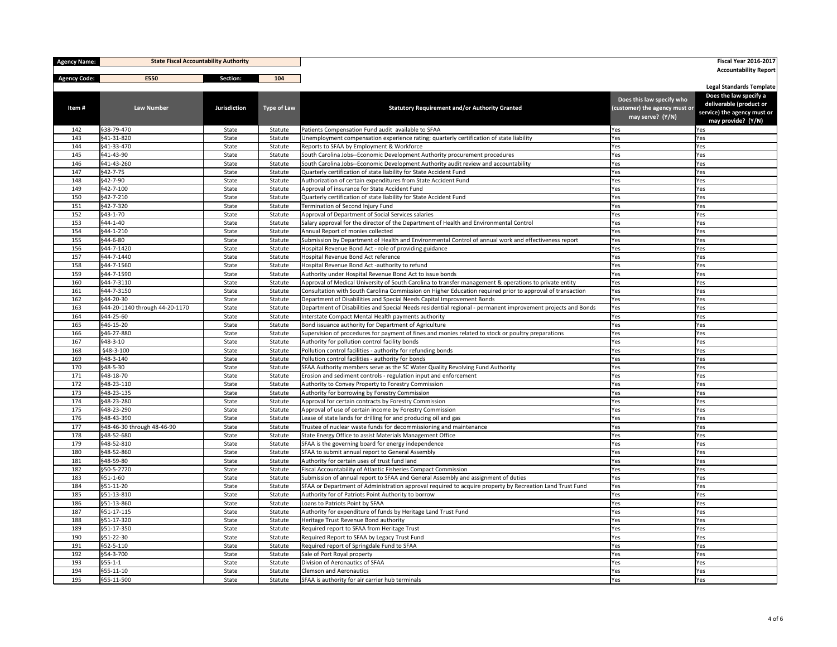| <b>Agency Name:</b> |                                | <b>State Fiscal Accountability Authority</b> |                    |                                                                                                                                               |                                                   | <b>Fiscal Year 2016-2017</b>                      |
|---------------------|--------------------------------|----------------------------------------------|--------------------|-----------------------------------------------------------------------------------------------------------------------------------------------|---------------------------------------------------|---------------------------------------------------|
| <b>Agency Code:</b> | E550                           | Section:                                     | 104                |                                                                                                                                               |                                                   | <b>Accountability Report</b>                      |
|                     |                                |                                              |                    |                                                                                                                                               |                                                   | <b>Legal Standards Template</b>                   |
|                     |                                |                                              |                    |                                                                                                                                               | Does this law specify who                         | Does the law specify a<br>deliverable (product or |
| Item#               | <b>Law Number</b>              | <b>Jurisdiction</b>                          | <b>Type of Law</b> | <b>Statutory Requirement and/or Authority Granted</b>                                                                                         | (customer) the agency must or<br>may serve? (Y/N) | service) the agency must or                       |
|                     |                                |                                              |                    |                                                                                                                                               |                                                   | may provide? (Y/N)                                |
| 142<br>143          | §38-79-470<br>§41-31-820       | State<br>State                               | Statute<br>Statute | Patients Compensation Fund audit available to SFAA<br>Unemployment compensation experience rating; quarterly certification of state liability | Yes<br>Yes                                        | Yes<br>Yes                                        |
| 144                 | §41-33-470                     | State                                        | Statute            | Reports to SFAA by Employment & Workforce                                                                                                     | Yes                                               | Yes                                               |
| 145                 | §41-43-90                      | State                                        | Statute            | South Carolina Jobs--Economic Development Authority procurement procedures                                                                    | Yes                                               | Yes                                               |
| 146                 | §41-43-260                     | State                                        | Statute            | South Carolina Jobs--Economic Development Authority audit review and accountability                                                           | Yes                                               | Yes                                               |
| 147                 | §42-7-75                       | State                                        | Statute            | Quarterly certification of state liability for State Accident Fund                                                                            | Yes                                               | Yes                                               |
| 148                 | \$42-7-90                      | State                                        | Statute            | Authorization of certain expenditures from State Accident Fund                                                                                | Yes                                               | Yes                                               |
| 149                 | $\frac{1}{942 - 7 - 100}$      | State                                        | Statute            | Approval of insurance for State Accident Fund                                                                                                 | Yes                                               | Yes                                               |
| 150                 | $\frac{642-7-210}{5}$          | State                                        | Statute            | Quarterly certification of state liability for State Accident Fund                                                                            | Yes                                               | Yes                                               |
| 151                 | §42-7-320                      | State                                        | Statute            | Termination of Second Injury Fund                                                                                                             | Yes                                               | Yes                                               |
| 152                 | \$43-1-70                      | State                                        | Statute            | Approval of Department of Social Services salaries                                                                                            | Yes                                               | Yes                                               |
| 153                 | $\frac{1}{944-1-40}$           | State                                        | Statute            | Salary approval for the director of the Department of Health and Environmental Control                                                        | Yes                                               | Yes                                               |
| 154                 | §44-1-210                      | State                                        | Statute            | Annual Report of monies collected                                                                                                             | Yes                                               | Yes                                               |
| 155                 | \$44-6-80                      | State                                        | Statute            | Submission by Department of Health and Environmental Control of annual work and effectiveness report                                          | Yes                                               | Yes                                               |
| 156                 | §44-7-1420                     | State                                        | Statute            | Hospital Revenue Bond Act - role of providing guidance                                                                                        | Yes                                               | Yes                                               |
| 157                 | §44-7-1440                     | State                                        | Statute            | Hospital Revenue Bond Act reference                                                                                                           | Yes                                               | Yes                                               |
| 158                 | §44-7-1560                     | State                                        | Statute            | Hospital Revenue Bond Act -authority to refund                                                                                                | Yes                                               | Yes                                               |
| 159                 | §44-7-1590                     | State                                        | Statute            | Authority under Hospital Revenue Bond Act to issue bonds                                                                                      | Yes                                               | Yes                                               |
| 160                 | §44-7-3110                     | State                                        | Statute            | Approval of Medical University of South Carolina to transfer management & operations to private entity                                        | Yes                                               | Yes                                               |
| 161                 | §44-7-3150                     | State                                        | Statute            | Consultation with South Carolina Commission on Higher Education required prior to approval of transaction                                     | Yes                                               | Yes                                               |
| 162                 | §44-20-30                      | State                                        | Statute            | Department of Disabilities and Special Needs Capital Improvement Bonds                                                                        | Yes                                               | Yes                                               |
| 163                 | §44-20-1140 through 44-20-1170 | State                                        | Statute            | Department of Disabilities and Special Needs residential regional - permanent improvement projects and Bonds                                  | Yes                                               | Yes                                               |
| 164                 | §44-25-60                      | State                                        | Statute            | Interstate Compact Mental Health payments authority                                                                                           | Yes                                               | Yes                                               |
| 165                 | §46-15-20                      | State                                        | Statute            | Bond issuance authority for Department of Agriculture                                                                                         | Yes                                               | Yes                                               |
| 166                 | §46-27-880                     | State                                        | Statute            | Supervision of procedures for payment of fines and monies related to stock or poultry preparations                                            | Yes                                               | Yes                                               |
| 167                 | \$48-3-10                      | State                                        | Statute            | Authority for pollution control facility bonds                                                                                                | Yes                                               | Yes                                               |
| 168                 | §48-3-100<br>§48-3-140         | State                                        | Statute            | Pollution control facilities - authority for refunding bonds<br>Pollution control facilities - authority for bonds                            | Yes                                               | Yes                                               |
| 169<br>170          | §48-5-30                       | State<br>State                               | Statute<br>Statute | SFAA Authority members serve as the SC Water Quality Revolving Fund Authority                                                                 | Yes<br>Yes                                        | Yes<br>Yes                                        |
| 171                 | §48-18-70                      | State                                        | Statute            | Erosion and sediment controls - regulation input and enforcement                                                                              | Yes                                               | Yes                                               |
| 172                 | §48-23-110                     | State                                        | Statute            | Authority to Convey Property to Forestry Commission                                                                                           | Yes                                               | Yes                                               |
| 173                 | §48-23-135                     | State                                        | Statute            | Authority for borrowing by Forestry Commission                                                                                                | Yes                                               | Yes                                               |
| 174                 | \$48-23-280                    | State                                        | Statute            | Approval for certain contracts by Forestry Commission                                                                                         | Yes                                               | Yes                                               |
| 175                 | §48-23-290                     | State                                        | Statute            | Approval of use of certain income by Forestry Commission                                                                                      | Yes                                               | Yes                                               |
| 176                 | §48-43-390                     | State                                        | Statute            | Lease of state lands for drilling for and producing oil and gas                                                                               | Yes                                               | Yes                                               |
| 177                 | §48-46-30 through 48-46-90     | State                                        | Statute            | Trustee of nuclear waste funds for decommissioning and maintenance                                                                            | Yes                                               | Yes                                               |
| 178                 | §48-52-680                     | State                                        | Statute            | State Energy Office to assist Materials Management Office                                                                                     | Yes                                               | Yes                                               |
| 179                 | §48-52-810                     | State                                        | Statute            | SFAA is the governing board for energy independence                                                                                           | Yes                                               | Yes                                               |
| 180                 | §48-52-860                     | State                                        | Statute            | SFAA to submit annual report to General Assembly                                                                                              | Yes                                               | Yes                                               |
| 181                 | §48-59-80                      | State                                        | Statute            | Authority for certain uses of trust fund land                                                                                                 | Yes                                               | Yes                                               |
| 182                 | \$50-5-2720                    | State                                        | Statute            | Fiscal Accountability of Atlantic Fisheries Compact Commission                                                                                | Yes                                               | Yes                                               |
| 183                 | $\frac{1}{9}$ 51-1-60          | State                                        | Statute            | Submission of annual report to SFAA and General Assembly and assignment of duties                                                             | Yes                                               | Yes                                               |
| 184                 | \$51-11-20                     | State                                        | Statute            | SFAA or Department of Administration approval required to acquire property by Recreation Land Trust Fund                                      | Yes                                               | Yes                                               |
| 185                 | \$51-13-810                    | State                                        | Statute            | Authority for of Patriots Point Authority to borrow                                                                                           | Yes                                               | Yes                                               |
| 186                 | §51-13-860                     | State                                        | Statute            | Loans to Patriots Point by SFAA                                                                                                               | Yes                                               | Yes                                               |
| 187                 | $\frac{551-17-115}{5}$         | State                                        | Statute            | Authority for expenditure of funds by Heritage Land Trust Fund                                                                                | Yes                                               | Yes                                               |
| 188                 | \$51-17-320                    | State                                        | Statute            | Heritage Trust Revenue Bond authority                                                                                                         | Yes                                               | Yes                                               |
| 189                 | \$51-17-350                    | State                                        | Statute            | Required report to SFAA from Heritage Trust                                                                                                   | Yes                                               | Yes                                               |
| 190                 | \$51-22-30                     | State                                        | Statute            | Required Report to SFAA by Legacy Trust Fund                                                                                                  | Yes                                               | Yes                                               |
| 191                 | $\frac{1}{552 - 5 - 110}$      | State                                        | Statute            | Required report of Springdale Fund to SFAA                                                                                                    | Yes                                               | Yes                                               |
| 192                 | \$54-3-700                     | State                                        | Statute            | Sale of Port Royal property                                                                                                                   | Yes                                               | Yes                                               |
| 193                 | $ $ §55-1-1                    | State                                        | Statute            | Division of Aeronautics of SFAA                                                                                                               | Yes                                               | Yes                                               |
| 194                 | $\frac{555-11-10}{5}$          | State                                        | Statute            | <b>Clemson and Aeronautics</b>                                                                                                                | Yes                                               | Yes                                               |
| 195                 | \$55-11-500                    | State                                        | Statute            | SFAA is authority for air carrier hub terminals                                                                                               | Yes                                               | Yes                                               |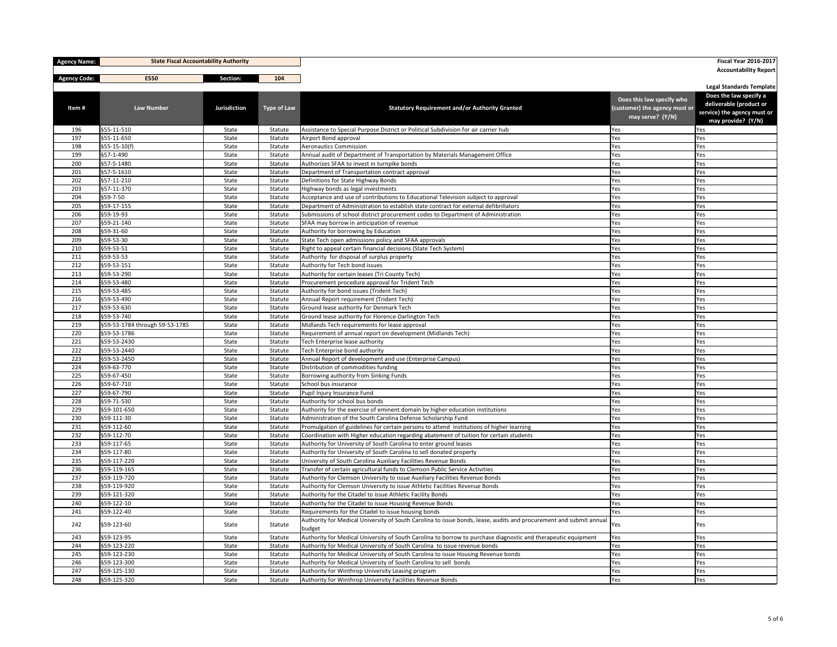| <b>Agency Name:</b> |                                | <b>State Fiscal Accountability Authority</b> |                    |                                                                                                                                                           |                               |                                                   |
|---------------------|--------------------------------|----------------------------------------------|--------------------|-----------------------------------------------------------------------------------------------------------------------------------------------------------|-------------------------------|---------------------------------------------------|
| <b>Agency Code:</b> | E550                           | Section:                                     | 104                |                                                                                                                                                           |                               | <b>Accountability Report</b>                      |
|                     |                                |                                              |                    |                                                                                                                                                           |                               | <b>Legal Standards Template</b>                   |
|                     |                                |                                              |                    |                                                                                                                                                           | Does this law specify who     | Does the law specify a<br>deliverable (product or |
| Item#               | <b>Law Number</b>              | <b>Jurisdiction</b>                          | <b>Type of Law</b> | <b>Statutory Requirement and/or Authority Granted</b>                                                                                                     | (customer) the agency must or | service) the agency must or                       |
|                     |                                |                                              |                    |                                                                                                                                                           | may serve? (Y/N)              | may provide? (Y/N)                                |
| 196                 | \$55-11-510                    | State                                        | Statute            | Assistance to Special Purpose District or Political Subdivision for air carrier hub                                                                       | Yes                           | Yes                                               |
| 197                 | \$55-11-650                    | State                                        | Statute            | Airport Bond approval                                                                                                                                     | Yes                           | Yes                                               |
| 198                 | $\frac{1}{555-15-10(f)}$       | State                                        | Statute            | Aeronautics Commission                                                                                                                                    | Yes                           | Yes                                               |
| 199                 | \$57-1-490                     | State                                        | Statute            | Annual audit of Department of Transportation by Materials Management Office                                                                               | Yes                           | Yes                                               |
| 200<br>201          | §57-5-1480<br>\$57-5-1610      | State<br>State                               | Statute<br>Statute | Authorizes SFAA to invest in turnpike bonds<br>Department of Transportation contract approval                                                             | Yes<br>Yes                    | Yes<br>Yes                                        |
| 202                 | §57-11-210                     | State                                        | Statute            | Definitions for State Highway Bonds                                                                                                                       | Yes                           | Yes                                               |
| 203                 | §57-11-370                     | State                                        | Statute            | Highway bonds as legal investments                                                                                                                        | Yes                           | Yes                                               |
| 204                 | §59-7-50                       | State                                        | Statute            | Acceptance and use of contributions to Educational Television subject to approval                                                                         | Yes                           | Yes                                               |
| 205                 | §59-17-155                     | State                                        | Statute            | Department of Administration to establish state contract for external defibrillators                                                                      | Yes                           | Yes                                               |
| 206                 | \$59-19-93                     | State                                        | Statute            | Submissions of school district procurement codes to Department of Administration                                                                          | Yes                           | Yes                                               |
| 207                 | §59-21-140                     | State                                        | Statute            | SFAA may borrow in anticipation of revenue                                                                                                                | Yes                           | Yes                                               |
| 208                 | \$59-31-60                     | State                                        | Statute            | Authority for borrowing by Education                                                                                                                      | Yes                           | Yes                                               |
| 209                 | \$59-53-30                     | State                                        | Statute            | State Tech open admissions policy and SFAA approvals                                                                                                      | Yes                           | Yes                                               |
| 210                 | §59-53-51                      | State                                        | Statute            | Right to appeal certain financial decisions (State Tech System)                                                                                           | Yes                           | Yes                                               |
| 211                 | \$59-53-53                     | State                                        | Statute            | Authority for disposal of surplus property                                                                                                                | Yes                           | Yes                                               |
| 212                 | §59-53-151                     | State                                        | Statute            | Authority for Tech bond issues                                                                                                                            | Yes                           | Yes                                               |
| 213                 | §59-53-290                     | State                                        | Statute            | Authority for certain leases (Tri County Tech)                                                                                                            | Yes                           | Yes                                               |
| 214<br>215          | \$59-53-480<br>\$59-53-485     | State<br>State                               | Statute<br>Statute | Procurement procedure approval for Trident Tech<br>Authority for bond issues (Trident Tech)                                                               | Yes<br>Yes                    | Yes<br>Yes                                        |
| 216                 | \$59-53-490                    | State                                        | Statute            | Annual Report requirement (Trident Tech)                                                                                                                  | Yes                           | Yes                                               |
| 217                 | §59-53-630                     | State                                        | Statute            | Ground lease authority for Denmark Tech                                                                                                                   | Yes                           | Yes                                               |
| 218                 | §59-53-740                     | State                                        | Statute            | Ground lease authority for Florence-Darlington Tech                                                                                                       | Yes                           | Yes                                               |
| 219                 | §59-53-1784 through 59-53-1785 | State                                        | Statute            | Midlands Tech requirements for lease approval                                                                                                             | Yes                           | Yes                                               |
| 220                 | §59-53-1786                    | State                                        | Statute            | Requirement of annual report on development (Midlands Tech)                                                                                               | Yes                           | Yes                                               |
| 221                 | \$59-53-2430                   | State                                        | Statute            | Tech Enterprise lease authority                                                                                                                           | Yes                           | Yes                                               |
| 222                 | §59-53-2440                    | State                                        | Statute            | Tech Enterprise bond authority                                                                                                                            | Yes                           | Yes                                               |
| 223                 | \$59-53-2450                   | State                                        | Statute            | Annual Report of development and use (Enterprise Campus)                                                                                                  | Yes                           | Yes                                               |
| 224                 | \$59-63-770                    | State                                        | Statute            | Distribution of commodities funding                                                                                                                       | Yes                           | Yes                                               |
| 225                 | \$59-67-450                    | State                                        | Statute            | Borrowing authority from Sinking Funds                                                                                                                    | Yes                           | Yes                                               |
| 226                 | \$59-67-710                    | State                                        | Statute            | School bus insurance                                                                                                                                      | Yes                           | Yes                                               |
| 227                 | \$59-67-790                    | State                                        | Statute            | Pupil Injury Insurance Fund                                                                                                                               | Yes                           | Yes                                               |
| 228                 | \$59-71-530                    | State                                        | Statute            | Authority for school bus bonds                                                                                                                            | Yes                           | Yes                                               |
| 229                 | \$59-101-650                   | State                                        | Statute            | Authority for the exercise of eminent domain by higher education institutions                                                                             | Yes                           | Yes                                               |
| 230<br>231          | §59-111-30<br>§59-112-60       | State<br>State                               | Statute<br>Statute | Administration of the South Carolina Defense Scholarship Fund<br>Promulgation of guidelines for certain persons to attend institutions of higher learning | Yes<br>Yes                    | Yes<br>Yes                                        |
| 232                 | §59-112-70                     | State                                        | Statute            | Coordination with Higher education regarding abatement of tuition for certain students                                                                    | Yes                           | Yes                                               |
| 233                 | §59-117-65                     | State                                        | Statute            | Authority for University of South Carolina to enter ground leases                                                                                         | Yes                           | Yes                                               |
| 234                 | \$59-117-80                    | State                                        | Statute            | Authority for University of South Carolina to sell donated property                                                                                       | Yes                           | Yes                                               |
| 235                 | \$59-117-220                   | State                                        | Statute            | University of South Carolina Auxiliary Facilities Revenue Bonds                                                                                           | Yes                           | Yes                                               |
| 236                 | §59-119-165                    | State                                        | Statute            | Transfer of certain agricultural funds to Clemson Public Service Activities                                                                               | Yes                           | Yes                                               |
| 237                 | \$59-119-720                   | State                                        | Statute            | Authority for Clemson University to issue Auxiliary Facilities Revenue Bonds                                                                              | Yes                           | Yes                                               |
| 238                 | \$59-119-920                   | State                                        | Statute            | Authority for Clemson University to issue Athletic Facilities Revenue Bonds                                                                               | Yes                           | Yes                                               |
| 239                 | \$59-121-320                   | State                                        | Statute            | Authority for the Citadel to issue Athletic Facility Bonds                                                                                                | Yes                           | Yes                                               |
| 240                 | \$59-122-10                    | State                                        | Statute            | Authority for the Citadel to issue Housing Revenue Bonds                                                                                                  | Yes                           | Yes                                               |
| 241                 | §59-122-40                     | State                                        | Statute            | Requirements for the Citadel to issue housing bonds                                                                                                       | Yes                           | Yes                                               |
| 242                 | §59-123-60                     | State                                        | Statute            | Authority for Medical University of South Carolina to issue bonds, lease, audits and procurement and submit annual<br>budget                              | Yes                           | Yes                                               |
| 243                 | \$59-123-95                    | State                                        | Statute            | Authority for Medical University of South Carolina to borrow to purchase diagnostic and therapeutic equipment                                             | Yes                           | Yes                                               |
| 244                 | \$59-123-220                   | State                                        | Statute            | Authority for Medical University of South Carolina to issue revenue bonds                                                                                 | Yes                           | Yes                                               |
| 245                 | \$59-123-230                   | State                                        | Statute            | Authority for Medical University of South Carolina to issue Housing Revenue bonds                                                                         | Yes                           | Yes                                               |
| 246                 | \$59-123-300                   | State                                        | Statute            | Authority for Medical University of South Carolina to sell bonds                                                                                          | Yes                           | Yes                                               |
| 247                 | \$59-125-130                   | State                                        | Statute            | Authority for Winthrop University Leasing program                                                                                                         | Yes                           | Yes                                               |
| 248                 | \$59-125-320                   | State                                        | Statute            | Authority for Winthrop University Facilities Revenue Bonds                                                                                                | Yes                           | Yes                                               |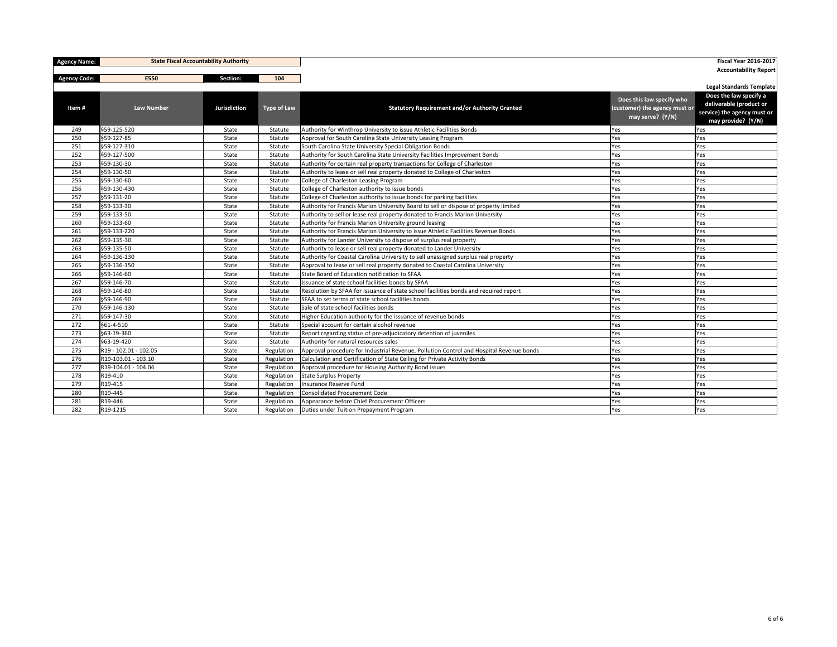| <b>Agency Name:</b> | <b>State Fiscal Accountability Authority</b> |                     |                    |                                                                                         |                                                                                | <b>Fiscal Year 2016-2017</b>                                                                           |
|---------------------|----------------------------------------------|---------------------|--------------------|-----------------------------------------------------------------------------------------|--------------------------------------------------------------------------------|--------------------------------------------------------------------------------------------------------|
|                     | E550                                         | Section:            | 104                |                                                                                         |                                                                                | <b>Accountability Report</b>                                                                           |
| <b>Agency Code:</b> |                                              |                     |                    |                                                                                         |                                                                                | <b>Legal Standards Template</b>                                                                        |
| Item#               | <b>Law Number</b>                            | <b>Jurisdiction</b> | <b>Type of Law</b> | <b>Statutory Requirement and/or Authority Granted</b>                                   | Does this law specify who<br>(customer) the agency must or<br>may serve? (Y/N) | Does the law specify a<br>deliverable (product or<br>service) the agency must or<br>may provide? (Y/N) |
| 249                 | §59-125-520                                  | State               | Statute            | Authority for Winthrop University to issue Athletic Facilities Bonds                    | Yes                                                                            | Yes                                                                                                    |
| 250                 | §59-127-85                                   | State               | Statute            | Approval for South Carolina State University Leasing Program                            | Yes                                                                            | Yes                                                                                                    |
| 251                 | \$59-127-310                                 | State               | Statute            | South Carolina State University Special Obligation Bonds                                | Yes                                                                            | Yes                                                                                                    |
| 252                 | \$59-127-500                                 | State               | Statute            | Authority for South Carolina State University Facilities Improvement Bonds              | Yes                                                                            | Yes                                                                                                    |
| 253                 | \$59-130-30                                  | State               | Statute            | Authority for certain real property transactions for College of Charleston              | Yes                                                                            | Yes                                                                                                    |
| 254                 | §59-130-50                                   | State               | Statute            | Authority to lease or sell real property donated to College of Charleston               | Yes                                                                            | Yes                                                                                                    |
| 255                 | §59-130-60                                   | State               | Statute            | College of Charleston Leasing Program                                                   | Yes                                                                            | Yes                                                                                                    |
| 256                 | §59-130-430                                  | State               | Statute            | College of Charleston authority to issue bonds                                          | Yes                                                                            | Yes                                                                                                    |
| 257                 | \$59-131-20                                  | State               | Statute            | College of Charleston authority to issue bonds for parking facilities                   | Yes                                                                            | Yes                                                                                                    |
| 258                 | \$59-133-30                                  | State               | Statute            | Authority for Francis Marion University Board to sell or dispose of property limited    | Yes                                                                            | Yes                                                                                                    |
| 259                 | §59-133-50                                   | State               | Statute            | Authority to sell or lease real property donated to Francis Marion University           | Yes                                                                            | Yes                                                                                                    |
| 260                 | §59-133-60                                   | State               | Statute            | Authority for Francis Marion University ground leasing                                  | Yes                                                                            | Yes                                                                                                    |
| 261                 | §59-133-220                                  | State               | Statute            | Authority for Francis Marion University to issue Athletic Facilities Revenue Bonds      | Yes                                                                            | Yes                                                                                                    |
| 262                 | \$59-135-30                                  | State               | Statute            | Authority for Lander University to dispose of surplus real property                     | Yes                                                                            | Yes                                                                                                    |
| 263                 | §59-135-50                                   | State               | Statute            | Authority to lease or sell real property donated to Lander University                   | Yes                                                                            | Yes                                                                                                    |
| 264                 | §59-136-130                                  | State               | Statute            | Authority for Coastal Carolina University to sell unassigned surplus real property      | Yes                                                                            | Yes                                                                                                    |
| 265                 | §59-136-150                                  | State               | Statute            | Approval to lease or sell real property donated to Coastal Carolina University          | Yes                                                                            | Yes                                                                                                    |
| 266                 | §59-146-60                                   | State               | Statute            | State Board of Education notification to SFAA                                           | Yes                                                                            | Yes                                                                                                    |
| 267                 | \$59-146-70                                  | State               | Statute            | Issuance of state school facilities bonds by SFAA                                       | Yes                                                                            | Yes                                                                                                    |
| 268                 | §59-146-80                                   | State               | Statute            | Resolution by SFAA for issuance of state school facilities bonds and required report    | Yes                                                                            | Yes                                                                                                    |
| 269                 | §59-146-90                                   | State               | Statute            | SFAA to set terms of state school facilities bonds                                      | Yes                                                                            | Yes                                                                                                    |
| 270                 | \$59-146-130                                 | State               | Statute            | Sale of state school facilities bonds                                                   | Yes                                                                            | Yes                                                                                                    |
| 271                 | \$59-147-30                                  | State               | Statute            | Higher Education authority for the issuance of revenue bonds                            | Yes                                                                            | Yes                                                                                                    |
| 272                 | $\frac{661-4-510}{ }$                        | State               | Statute            | Special account for certain alcohol revenue                                             | Yes                                                                            | Yes                                                                                                    |
| 273                 | \$63-19-360                                  | State               | Statute            | Report regarding status of pre-adjudicatory detention of juveniles                      | Yes                                                                            | Yes                                                                                                    |
| 274                 | \$63-19-420                                  | State               | Statute            | Authority for natural resources sales                                                   | Yes                                                                            | Yes                                                                                                    |
| 275                 | R19 - 102.01 - 102.05                        | State               | Regulation         | Approval procedure for Industrial Revenue, Pollution Control and Hospital Revenue bonds | Yes                                                                            | Yes                                                                                                    |
| 276                 | R19-103.01 - 103.10                          | State               | Regulation         | Calculation and Certification of State Ceiling for Private Activity Bonds               | Yes                                                                            | Yes                                                                                                    |
| 277                 | R19-104.01 - 104.04                          | State               | Regulation         | Approval procedure for Housing Authority Bond issues                                    | Yes                                                                            | Yes                                                                                                    |
| 278                 | R19-410                                      | State               | Regulation         | State Surplus Property                                                                  | Yes                                                                            | Yes                                                                                                    |
| 279                 | R19-415                                      | State               | Regulation         | Insurance Reserve Fund                                                                  | Yes                                                                            | Yes                                                                                                    |
| 280                 | R19-445                                      | State               | Regulation         | Consolidated Procurement Code                                                           | Yes                                                                            | Yes                                                                                                    |
| 281                 | R19-446                                      | State               | Regulation         | Appearance before Chief Procurement Officers                                            | Yes                                                                            | Yes                                                                                                    |
| 282                 | R19-1215                                     | State               | Regulation         | Duties under Tuition Prepayment Program                                                 | Yes                                                                            | Yes                                                                                                    |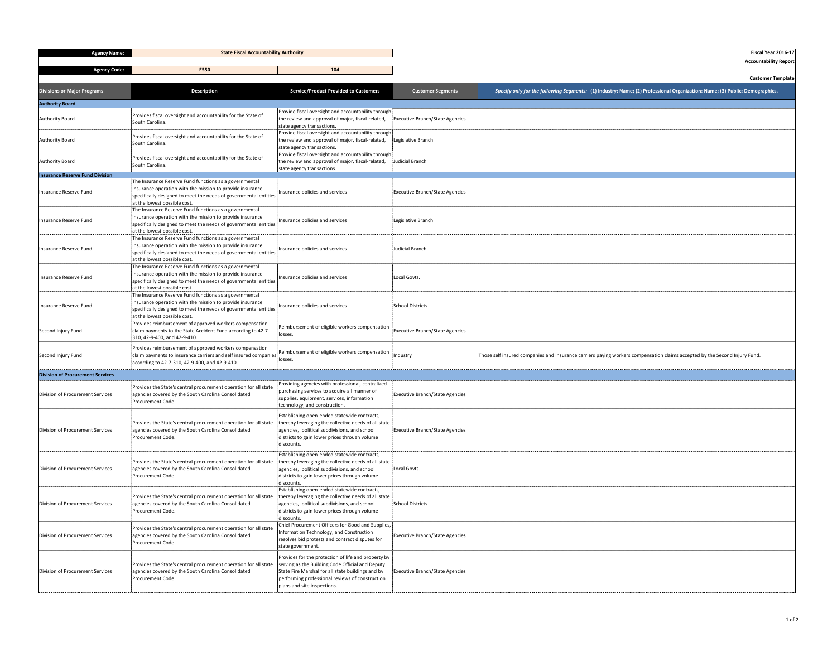| <b>Agency Name:</b>                     | <b>State Fiscal Accountability Authority</b>                                                                                                                                                                            |                                                                                                                                                                                            |                                        | <b>Fiscal Year</b>                                                                                                                                                |
|-----------------------------------------|-------------------------------------------------------------------------------------------------------------------------------------------------------------------------------------------------------------------------|--------------------------------------------------------------------------------------------------------------------------------------------------------------------------------------------|----------------------------------------|-------------------------------------------------------------------------------------------------------------------------------------------------------------------|
| <b>Agency Code:</b>                     | E550                                                                                                                                                                                                                    | 104                                                                                                                                                                                        |                                        | Accountability                                                                                                                                                    |
| <b>Divisions or Major Programs</b>      | <b>Description</b>                                                                                                                                                                                                      | <b>Service/Product Provided to Customers</b>                                                                                                                                               | <b>Customer Segments</b>               | <b>Customer Te</b><br>Specify only for the following Segments: (1) Industry: Name; (2 <u>) Professional Organization:</u> Name; (3 <u>) Public:</u> Demographics. |
| <b>Authority Board</b>                  |                                                                                                                                                                                                                         |                                                                                                                                                                                            |                                        |                                                                                                                                                                   |
| <b>Authority Board</b>                  | Provides fiscal oversight and accountability for the State of<br>South Carolina.                                                                                                                                        | Provide fiscal oversight and accountability through<br>the review and approval of major, fiscal-related,<br>state agency transactions.                                                     | <b>Executive Branch/State Agencies</b> |                                                                                                                                                                   |
| <b>Authority Board</b>                  | Provides fiscal oversight and accountability for the State of<br>South Carolina.                                                                                                                                        | Provide fiscal oversight and accountability through<br>the review and approval of major, fiscal-related,<br>state agency transactions.                                                     | Legislative Branch                     |                                                                                                                                                                   |
| <b>Authority Board</b>                  | Provides fiscal oversight and accountability for the State of<br>South Carolina.                                                                                                                                        | Provide fiscal oversight and accountability through<br>the review and approval of major, fiscal-related, Judicial Branch<br>state agency transactions.                                     |                                        |                                                                                                                                                                   |
| <b>Insurance Reserve Fund Division</b>  | The Insurance Reserve Fund functions as a governmental                                                                                                                                                                  |                                                                                                                                                                                            |                                        |                                                                                                                                                                   |
| Insurance Reserve Fund                  | insurance operation with the mission to provide insurance<br>specifically designed to meet the needs of governmental entities<br>at the lowest possible cost.                                                           | Insurance policies and services                                                                                                                                                            | <b>Executive Branch/State Agencies</b> |                                                                                                                                                                   |
| Insurance Reserve Fund                  | The Insurance Reserve Fund functions as a governmental<br>insurance operation with the mission to provide insurance<br>specifically designed to meet the needs of governmental entities<br>at the lowest possible cost. | Insurance policies and services                                                                                                                                                            | Legislative Branch                     |                                                                                                                                                                   |
| Insurance Reserve Fund                  | The Insurance Reserve Fund functions as a governmental<br>insurance operation with the mission to provide insurance<br>specifically designed to meet the needs of governmental entities<br>at the lowest possible cost  | Insurance policies and services                                                                                                                                                            | Judicial Branch                        |                                                                                                                                                                   |
| Insurance Reserve Fund                  | The Insurance Reserve Fund functions as a governmental<br>insurance operation with the mission to provide insurance<br>specifically designed to meet the needs of governmental entities<br>at the lowest possible cost  | Insurance policies and services                                                                                                                                                            | Local Govts.                           |                                                                                                                                                                   |
| Insurance Reserve Fund                  | The Insurance Reserve Fund functions as a governmental<br>insurance operation with the mission to provide insurance<br>specifically designed to meet the needs of governmental entities<br>at the lowest possible cost. | Insurance policies and services                                                                                                                                                            | <b>School Districts</b>                |                                                                                                                                                                   |
| Second Injury Fund                      | Provides reimbursement of approved workers compensation<br>claim payments to the State Accident Fund according to 42-7-<br>310, 42-9-400, and 42-9-410.                                                                 | Reimbursement of eligible workers compensation                                                                                                                                             | <b>Executive Branch/State Agencies</b> |                                                                                                                                                                   |
| Second Injury Fund                      | Provides reimbursement of approved workers compensation<br>claim payments to insurance carriers and self insured companies<br>according to 42-7-310, 42-9-400, and 42-9-410.                                            | Reimbursement of eligible workers compensation                                                                                                                                             | <b>Industry</b>                        | Those self insured companies and insurance carriers paying workers compensation claims accepted by the Second Injury Fund.                                        |
| <b>Division of Procurement Services</b> |                                                                                                                                                                                                                         |                                                                                                                                                                                            |                                        |                                                                                                                                                                   |
| Division of Procurement Services        | Provides the State's central procurement operation for all state<br>agencies covered by the South Carolina Consolidated<br><b>Procurement Code.</b>                                                                     | Providing agencies with professional, centralized<br>purchasing services to acquire all manner of<br>supplies, equipment, services, information                                            | <b>Executive Branch/State Agencies</b> |                                                                                                                                                                   |
| Division of Procurement Services        | Provides the State's central procurement operation for all state thereby leveraging the collective needs of all state<br>agencies covered by the South Carolina Consolidated<br>Procurement Code.                       | Establishing open-ended statewide contracts,<br>agencies, political subdivisions, and school<br>districts to gain lower prices through volume<br>discount:                                 | <b>Executive Branch/State Agencies</b> |                                                                                                                                                                   |
| Division of Procurement Services        | Provides the State's central procurement operation for all state thereby leveraging the collective needs of all state<br>agencies covered by the South Carolina Consolidated<br>Procurement Code.                       | Establishing open-ended statewide contracts,<br>agencies, political subdivisions, and school<br>districts to gain lower prices through volume                                              | Local Govts.                           |                                                                                                                                                                   |
| Division of Procurement Services        | Provides the State's central procurement operation for all state thereby leveraging the collective needs of all state<br>agencies covered by the South Carolina Consolidated<br>Procurement Code.                       | Establishing open-ended statewide contract<br>agencies, political subdivisions, and school<br>districts to gain lower prices through volume<br>discounts.                                  | School Districts                       |                                                                                                                                                                   |
| Division of Procurement Services        | Provides the State's central procurement operation for all state<br>agencies covered by the South Carolina Consolidated<br>Procurement Code.                                                                            | Chief Procurement Officers for Good and Supplies,<br>Information Technology, and Construction<br>resolves bid protests and contract disputes for                                           | <b>Executive Branch/State Agencies</b> |                                                                                                                                                                   |
| Division of Procurement Services        | Provides the State's central procurement operation for all state serving as the Building Code Official and Deputy<br>agencies covered by the South Carolina Consolidated<br>Procurement Code.                           | Provides for the protection of life and property by<br>State Fire Marshal for all state buildings and by<br>performing professional reviews of construction<br>plans and site inspections. | <b>Executive Branch/State Agencies</b> |                                                                                                                                                                   |

| <b>State Fiscal Accountability Authority</b> |                                                                                                                                 |                                        | Fiscal Year 2016-17                                                                                                         |
|----------------------------------------------|---------------------------------------------------------------------------------------------------------------------------------|----------------------------------------|-----------------------------------------------------------------------------------------------------------------------------|
|                                              |                                                                                                                                 |                                        | <b>Accountability Report</b>                                                                                                |
|                                              | 104                                                                                                                             |                                        |                                                                                                                             |
|                                              |                                                                                                                                 |                                        | <b>Customer Template</b>                                                                                                    |
|                                              | <b>Service/Product Provided to Customers</b>                                                                                    | <b>Customer Segments</b>               | Specify only for the following Segments: (1) Industry: Name; (2) Professional Organization: Name; (3) Public: Demographics. |
|                                              |                                                                                                                                 |                                        |                                                                                                                             |
|                                              |                                                                                                                                 |                                        |                                                                                                                             |
| lity for the State of                        | Provide fiscal oversight and accountability through                                                                             |                                        |                                                                                                                             |
|                                              | the review and approval of major, fiscal-related,                                                                               | <b>Executive Branch/State Agencies</b> |                                                                                                                             |
|                                              | state agency transactions.<br>Provide fiscal oversight and accountability through                                               |                                        |                                                                                                                             |
| lity for the State of                        | the review and approval of major, fiscal-related,                                                                               | Legislative Branch                     |                                                                                                                             |
|                                              | state agency transactions.                                                                                                      |                                        |                                                                                                                             |
| lity for the State of                        | Provide fiscal oversight and accountability through                                                                             |                                        |                                                                                                                             |
|                                              | the review and approval of major, fiscal-related,                                                                               | Judicial Branch                        |                                                                                                                             |
|                                              | state agency transactions.                                                                                                      |                                        |                                                                                                                             |
| s a governmental                             |                                                                                                                                 |                                        |                                                                                                                             |
| provide insurance                            | Insurance policies and services                                                                                                 | <b>Executive Branch/State Agencies</b> |                                                                                                                             |
| of governmental entities                     |                                                                                                                                 |                                        |                                                                                                                             |
|                                              |                                                                                                                                 |                                        |                                                                                                                             |
| s a governmental<br>provide insurance        |                                                                                                                                 |                                        |                                                                                                                             |
| of governmental entities                     | Insurance policies and services                                                                                                 | Legislative Branch                     |                                                                                                                             |
|                                              |                                                                                                                                 |                                        |                                                                                                                             |
| s a governmental                             |                                                                                                                                 |                                        |                                                                                                                             |
| provide insurance                            | Insurance policies and services                                                                                                 | Judicial Branch                        |                                                                                                                             |
| of governmental entities                     |                                                                                                                                 |                                        |                                                                                                                             |
| s a governmental                             |                                                                                                                                 |                                        |                                                                                                                             |
|                                              |                                                                                                                                 |                                        |                                                                                                                             |
|                                              | Insurance policies and services<br>of governmental entities                                                                     | Local Govts.                           |                                                                                                                             |
|                                              |                                                                                                                                 |                                        |                                                                                                                             |
| s a governmental<br>provide insurance        |                                                                                                                                 |                                        |                                                                                                                             |
| of governmental entities                     | Insurance policies and services                                                                                                 | <b>School Districts</b>                |                                                                                                                             |
|                                              |                                                                                                                                 |                                        |                                                                                                                             |
| orkers compensation                          |                                                                                                                                 |                                        |                                                                                                                             |
| Ind according to 42-7-                       | Reimbursement of eligible workers compensation<br>Executive Branch/State Agencies<br>losses.                                    |                                        |                                                                                                                             |
|                                              |                                                                                                                                 |                                        |                                                                                                                             |
| orkers compensation                          | Reimbursement of eligible workers compensation:                                                                                 |                                        |                                                                                                                             |
| d self insured companies                     | losses.                                                                                                                         |                                        | Those self insured companies and insurance carriers paying workers compensation claims accepted by the Second Injury Fund.  |
| $2 - 9 - 410.$                               |                                                                                                                                 |                                        |                                                                                                                             |
|                                              |                                                                                                                                 |                                        |                                                                                                                             |
| t operation for all state                    | Providing agencies with professional, centralized                                                                               |                                        |                                                                                                                             |
| Consolidated                                 |                                                                                                                                 |                                        |                                                                                                                             |
|                                              | purchasing services to acquire all manner of                                                                                    |                                        |                                                                                                                             |
|                                              | supplies, equipment, services, information                                                                                      | <b>Executive Branch/State Agencies</b> |                                                                                                                             |
|                                              | technology, and construction.                                                                                                   |                                        |                                                                                                                             |
|                                              | Establishing open-ended statewide contracts,                                                                                    |                                        |                                                                                                                             |
|                                              | t operation for all state thereby leveraging the collective needs of all state                                                  |                                        |                                                                                                                             |
| Consolidated                                 | agencies, political subdivisions, and school                                                                                    | <b>Executive Branch/State Agencies</b> |                                                                                                                             |
|                                              | districts to gain lower prices through volume<br>discounts.                                                                     |                                        |                                                                                                                             |
|                                              |                                                                                                                                 |                                        |                                                                                                                             |
|                                              | Establishing open-ended statewide contracts,                                                                                    |                                        |                                                                                                                             |
| Consolidated                                 | t operation for all state thereby leveraging the collective needs of all state<br>agencies, political subdivisions, and school  | Local Govts.                           |                                                                                                                             |
|                                              | districts to gain lower prices through volume                                                                                   |                                        |                                                                                                                             |
|                                              | discounts.                                                                                                                      |                                        |                                                                                                                             |
|                                              | Establishing open-ended statewide contracts,                                                                                    |                                        |                                                                                                                             |
| Consolidated                                 | t operation for all state thereby leveraging the collective needs of all state<br>agencies, political subdivisions, and school  | School Districts                       |                                                                                                                             |
|                                              | districts to gain lower prices through volume                                                                                   |                                        |                                                                                                                             |
|                                              | discounts.                                                                                                                      |                                        |                                                                                                                             |
| t operation for all state                    | Chief Procurement Officers for Good and Supplies,                                                                               |                                        |                                                                                                                             |
| Consolidated                                 | Information Technology, and Construction                                                                                        | <b>Executive Branch/State Agencies</b> |                                                                                                                             |
|                                              | resolves bid protests and contract disputes for                                                                                 |                                        |                                                                                                                             |
|                                              | state government.                                                                                                               |                                        |                                                                                                                             |
|                                              | Provides for the protection of life and property by                                                                             |                                        |                                                                                                                             |
| Consolidated                                 | t operation for all state serving as the Building Code Official and Deputy<br>State Fire Marshal for all state buildings and by | <b>Executive Branch/State Agencies</b> |                                                                                                                             |
|                                              | performing professional reviews of construction<br>plans and site inspections.                                                  |                                        |                                                                                                                             |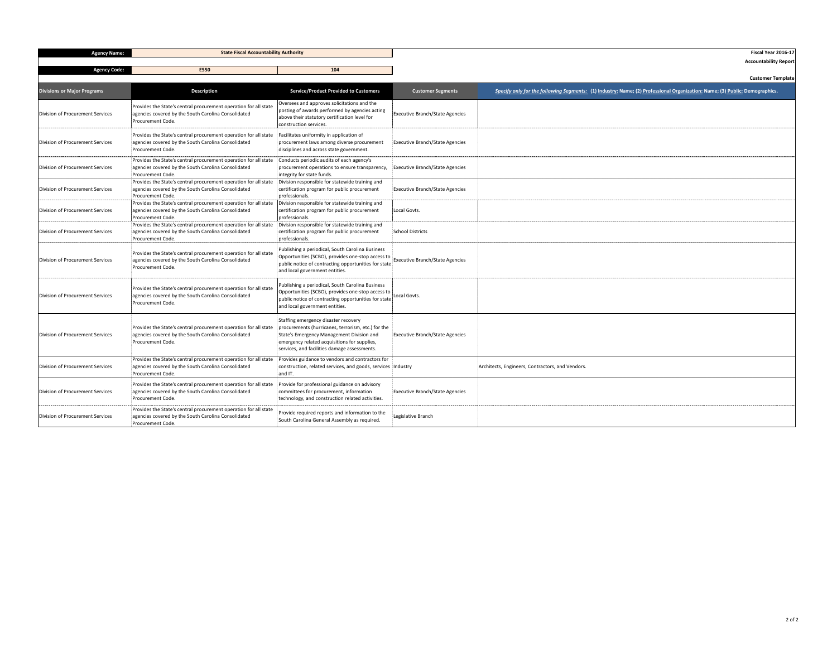| <b>Customer Segments</b>                                                           | Specify only for the following Segments: (1) Industry: Name; (2) Professional Organization: Name; (3) Public: Demographics. |
|------------------------------------------------------------------------------------|-----------------------------------------------------------------------------------------------------------------------------|
| Executive Branch/State Agencies                                                    |                                                                                                                             |
| <b>Executive Branch/State Agencies</b>                                             |                                                                                                                             |
| <b>Executive Branch/State Agencies</b><br>-------------------------- <b>------</b> |                                                                                                                             |
| <b>Executive Branch/State Agencies</b>                                             |                                                                                                                             |
| Local Govts.                                                                       |                                                                                                                             |
| <b>School Districts</b>                                                            |                                                                                                                             |
| <b>Executive Branch/State Agencies</b>                                             |                                                                                                                             |
| Local Govts.                                                                       |                                                                                                                             |
| <b>Executive Branch/State Agencies</b>                                             |                                                                                                                             |
| Industry                                                                           | Architects, Engineers, Contractors, and Vendors.                                                                            |
| <b>Executive Branch/State Agencies</b>                                             |                                                                                                                             |
| Legislative Branch                                                                 |                                                                                                                             |

| <b>Agency Name:</b>                     | <b>State Fiscal Accountability Authority</b>                                                                                                       |                                                                                                                                                                                                                                         |                                        | Fiscal Year 2016-17                                                                                                         |
|-----------------------------------------|----------------------------------------------------------------------------------------------------------------------------------------------------|-----------------------------------------------------------------------------------------------------------------------------------------------------------------------------------------------------------------------------------------|----------------------------------------|-----------------------------------------------------------------------------------------------------------------------------|
| <b>Agency Code:</b>                     | E550                                                                                                                                               | 104                                                                                                                                                                                                                                     |                                        | <b>Accountability Report</b>                                                                                                |
|                                         |                                                                                                                                                    |                                                                                                                                                                                                                                         |                                        | <b>Customer Template</b>                                                                                                    |
| <b>Divisions or Major Programs</b>      | <b>Description</b>                                                                                                                                 | <b>Service/Product Provided to Customers</b>                                                                                                                                                                                            | <b>Customer Segments</b>               | Specify only for the following Segments: (1) Industry: Name; (2) Professional Organization: Name; (3) Public: Demographics. |
| Division of Procurement Services        | Provides the State's central procurement operation for all state<br>agencies covered by the South Carolina Consolidated<br><b>Procurement Code</b> | Oversees and approves solicitations and the<br>posting of awards performed by agencies acting<br>labove their statutory certification level for<br>construction services                                                                | <b>Executive Branch/State Agencies</b> |                                                                                                                             |
| Division of Procurement Services        | Provides the State's central procurement operation for all state<br>agencies covered by the South Carolina Consolidated<br>Procurement Code.       | Facilitates uniformity in application of<br>procurement laws among diverse procurement<br>disciplines and across state government.                                                                                                      | <b>Executive Branch/State Agencies</b> |                                                                                                                             |
| Division of Procurement Services        | Provides the State's central procurement operation for all state<br>agencies covered by the South Carolina Consolidated<br><b>Procurement Code</b> | Conducts periodic audits of each agency's<br>procurement operations to ensure transparency,<br>integrity for state funds.                                                                                                               | <b>Executive Branch/State Agencies</b> |                                                                                                                             |
| <b>Division of Procurement Services</b> | Provides the State's central procurement operation for all state<br>agencies covered by the South Carolina Consolidated<br><b>Procurement Code</b> | Division responsible for statewide training and<br>certification program for public procurement<br>professionals.                                                                                                                       | <b>Executive Branch/State Agencies</b> |                                                                                                                             |
| Division of Procurement Services        | Provides the State's central procurement operation for all state<br>agencies covered by the South Carolina Consolidated<br><b>Procurement Code</b> | Division responsible for statewide training and<br>certification program for public procurement<br>professionals                                                                                                                        | Local Govts.                           |                                                                                                                             |
| Division of Procurement Services        | Provides the State's central procurement operation for all state<br>agencies covered by the South Carolina Consolidated<br><b>Procurement Code</b> | Division responsible for statewide training and<br>certification program for public procurement<br>professionals                                                                                                                        | <b>School Districts</b>                |                                                                                                                             |
| Division of Procurement Services        | Provides the State's central procurement operation for all state<br>agencies covered by the South Carolina Consolidated<br>Procurement Code.       | Publishing a periodical, South Carolina Business<br>Opportunities (SCBO), provides one-stop access to<br>public notice of contracting opportunities for state<br>and local government entities                                          |                                        |                                                                                                                             |
| Division of Procurement Services        | Provides the State's central procurement operation for all state<br>agencies covered by the South Carolina Consolidated<br>Procurement Code.       | Publishing a periodical, South Carolina Business<br>Opportunities (SCBO), provides one-stop access to Local Govts.<br>public notice of contracting opportunities for state<br>land local government entities.                           |                                        |                                                                                                                             |
| Division of Procurement Services        | Provides the State's central procurement operation for all state<br>agencies covered by the South Carolina Consolidated<br>Procurement Code.       | Staffing emergency disaster recovery<br>procurements (hurricanes, terrorism, etc.) for the<br>State's Emergency Management Division and<br>emergency related acquisitions for supplies,<br>services, and facilities damage assessments. | <b>Executive Branch/State Agencies</b> |                                                                                                                             |
| Division of Procurement Services        | Provides the State's central procurement operation for all state<br>agencies covered by the South Carolina Consolidated<br>Procurement Code.       | Provides guidance to vendors and contractors for<br>construction, related services, and goods, services Industry<br>and IT.                                                                                                             |                                        | Architects, Engineers, Contractors, and Vendors                                                                             |
| Division of Procurement Services        | Provides the State's central procurement operation for all state<br>agencies covered by the South Carolina Consolidated<br><b>Procurement Code</b> | Provide for professional guidance on advisory<br>committees for procurement, information<br>technology, and construction related activities                                                                                             | <b>Executive Branch/State Agencies</b> |                                                                                                                             |
| Division of Procurement Services        | Provides the State's central procurement operation for all state<br>agencies covered by the South Carolina Consolidated<br>Procurement Code.       | Provide required reports and information to the<br>'South Carolina General Assembly as required.                                                                                                                                        | Legislative Branch                     |                                                                                                                             |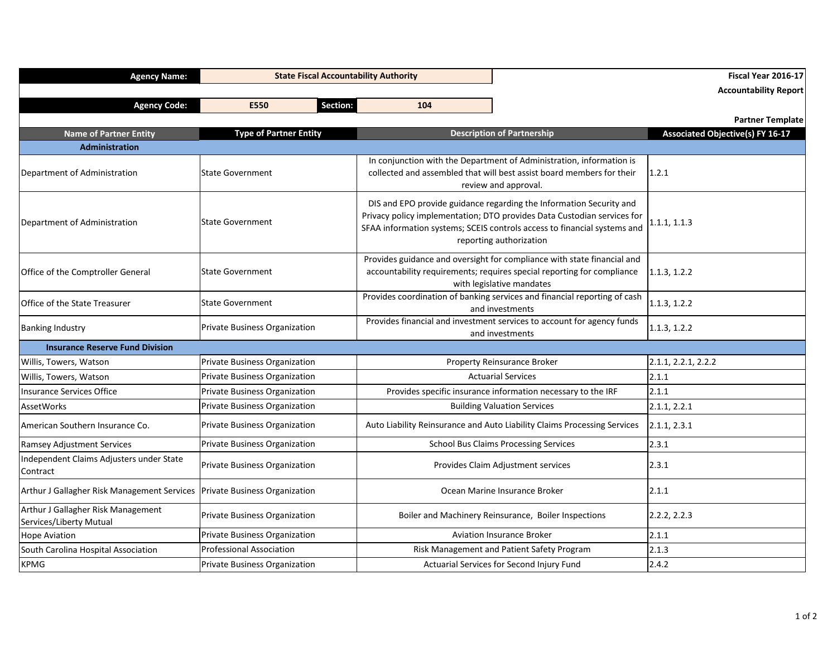| <b>Agency Name:</b>                                           | <b>State Fiscal Accountability Authority</b> |                                                                                                                                                                                |                                                                                                                                                                                                                                                       | Fiscal Year 2016-17<br><b>Accountability Report</b> |
|---------------------------------------------------------------|----------------------------------------------|--------------------------------------------------------------------------------------------------------------------------------------------------------------------------------|-------------------------------------------------------------------------------------------------------------------------------------------------------------------------------------------------------------------------------------------------------|-----------------------------------------------------|
| <b>Agency Code:</b>                                           | <b>Section:</b><br>E550                      | 104                                                                                                                                                                            |                                                                                                                                                                                                                                                       |                                                     |
|                                                               |                                              |                                                                                                                                                                                |                                                                                                                                                                                                                                                       | <b>Partner Template</b>                             |
| <b>Name of Partner Entity</b>                                 | <b>Type of Partner Entity</b>                |                                                                                                                                                                                | <b>Description of Partnership</b>                                                                                                                                                                                                                     | <b>Associated Objective(s) FY 16-17</b>             |
| Administration                                                |                                              |                                                                                                                                                                                |                                                                                                                                                                                                                                                       |                                                     |
| Department of Administration                                  | <b>State Government</b>                      |                                                                                                                                                                                | In conjunction with the Department of Administration, information is<br>collected and assembled that will best assist board members for their<br>review and approval.                                                                                 | 1.2.1                                               |
| Department of Administration                                  | <b>State Government</b>                      |                                                                                                                                                                                | DIS and EPO provide guidance regarding the Information Security and<br>Privacy policy implementation; DTO provides Data Custodian services for<br>SFAA information systems; SCEIS controls access to financial systems and<br>reporting authorization | 1.1.1, 1.1.3                                        |
| Office of the Comptroller General                             | <b>State Government</b>                      | Provides guidance and oversight for compliance with state financial and<br>accountability requirements; requires special reporting for compliance<br>with legislative mandates | 1.1.3, 1.2.2                                                                                                                                                                                                                                          |                                                     |
| <b>Office of the State Treasurer</b>                          | <b>State Government</b>                      |                                                                                                                                                                                | Provides coordination of banking services and financial reporting of cash<br>and investments                                                                                                                                                          | 1.1.3, 1.2.2                                        |
| <b>Banking Industry</b>                                       | <b>Private Business Organization</b>         |                                                                                                                                                                                | Provides financial and investment services to account for agency funds<br>and investments                                                                                                                                                             | 1.1.3, 1.2.2                                        |
| <b>Insurance Reserve Fund Division</b>                        |                                              |                                                                                                                                                                                |                                                                                                                                                                                                                                                       |                                                     |
| Willis, Towers, Watson                                        | <b>Private Business Organization</b>         |                                                                                                                                                                                | Property Reinsurance Broker                                                                                                                                                                                                                           | 2.1.1, 2.2.1, 2.2.2                                 |
| Willis, Towers, Watson                                        | Private Business Organization                |                                                                                                                                                                                | <b>Actuarial Services</b>                                                                                                                                                                                                                             | 2.1.1                                               |
| Insurance Services Office                                     | <b>Private Business Organization</b>         |                                                                                                                                                                                | Provides specific insurance information necessary to the IRF                                                                                                                                                                                          | 2.1.1                                               |
| AssetWorks                                                    | <b>Private Business Organization</b>         |                                                                                                                                                                                | <b>Building Valuation Services</b>                                                                                                                                                                                                                    | 2.1.1, 2.2.1                                        |
| American Southern Insurance Co.                               | <b>Private Business Organization</b>         |                                                                                                                                                                                | Auto Liability Reinsurance and Auto Liability Claims Processing Services                                                                                                                                                                              | 2.1.1, 2.3.1                                        |
| <b>Ramsey Adjustment Services</b>                             | <b>Private Business Organization</b>         |                                                                                                                                                                                | <b>School Bus Claims Processing Services</b>                                                                                                                                                                                                          | 2.3.1                                               |
| Independent Claims Adjusters under State<br>Contract          | Private Business Organization                |                                                                                                                                                                                | Provides Claim Adjustment services                                                                                                                                                                                                                    | 2.3.1                                               |
| Arthur J Gallagher Risk Management Services                   | Private Business Organization                |                                                                                                                                                                                | Ocean Marine Insurance Broker                                                                                                                                                                                                                         | 2.1.1                                               |
| Arthur J Gallagher Risk Management<br>Services/Liberty Mutual | <b>Private Business Organization</b>         |                                                                                                                                                                                | Boiler and Machinery Reinsurance, Boiler Inspections                                                                                                                                                                                                  | 2.2.2, 2.2.3                                        |
| <b>Hope Aviation</b>                                          | <b>Private Business Organization</b>         |                                                                                                                                                                                | <b>Aviation Insurance Broker</b>                                                                                                                                                                                                                      | 2.1.1                                               |
| South Carolina Hospital Association                           | <b>Professional Association</b>              |                                                                                                                                                                                | Risk Management and Patient Safety Program                                                                                                                                                                                                            | 2.1.3                                               |
| <b>KPMG</b>                                                   | Private Business Organization                |                                                                                                                                                                                | Actuarial Services for Second Injury Fund                                                                                                                                                                                                             | 2.4.2                                               |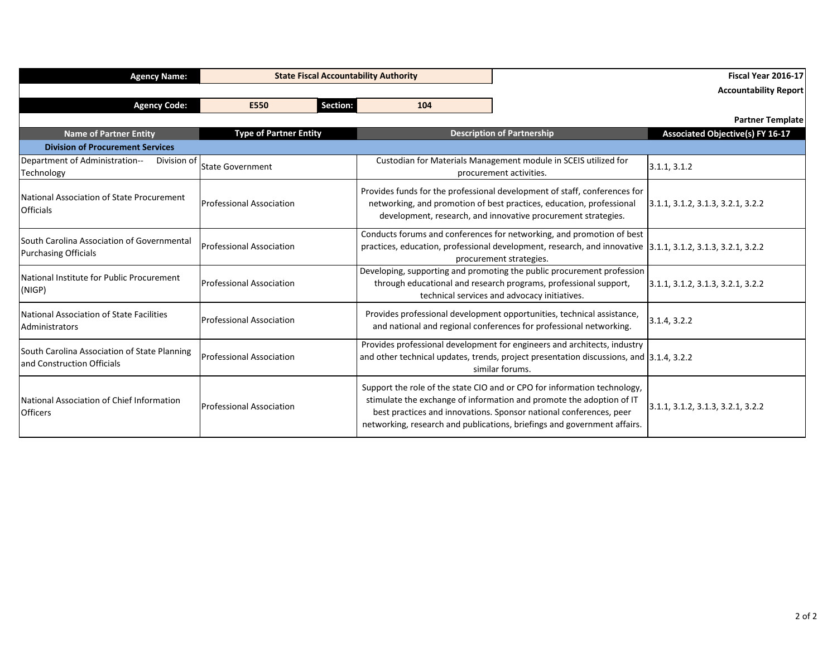| <b>Agency Name:</b>                                                        |                                 |          | <b>State Fiscal Accountability Authority</b> |                                                                                                                                                                                                                                                                                                    | Fiscal Year 2016-17                     |
|----------------------------------------------------------------------------|---------------------------------|----------|----------------------------------------------|----------------------------------------------------------------------------------------------------------------------------------------------------------------------------------------------------------------------------------------------------------------------------------------------------|-----------------------------------------|
|                                                                            |                                 |          |                                              |                                                                                                                                                                                                                                                                                                    | <b>Accountability Report</b>            |
| <b>Agency Code:</b>                                                        | E550                            | Section: | 104                                          |                                                                                                                                                                                                                                                                                                    |                                         |
|                                                                            |                                 |          |                                              |                                                                                                                                                                                                                                                                                                    | <b>Partner Template</b>                 |
| <b>Name of Partner Entity</b>                                              | <b>Type of Partner Entity</b>   |          |                                              | <b>Description of Partnership</b>                                                                                                                                                                                                                                                                  | <b>Associated Objective(s) FY 16-17</b> |
| <b>Division of Procurement Services</b>                                    |                                 |          |                                              |                                                                                                                                                                                                                                                                                                    |                                         |
| Department of Administration--<br>Division of<br>Technology                | <b>State Government</b>         |          |                                              | Custodian for Materials Management module in SCEIS utilized for<br>procurement activities.                                                                                                                                                                                                         | 3.1.1, 3.1.2                            |
| National Association of State Procurement<br><b>Officials</b>              | <b>Professional Association</b> |          |                                              | Provides funds for the professional development of staff, conferences for<br>networking, and promotion of best practices, education, professional<br>development, research, and innovative procurement strategies.                                                                                 | 3.1.1, 3.1.2, 3.1.3, 3.2.1, 3.2.2       |
| South Carolina Association of Governmental<br><b>Purchasing Officials</b>  | <b>Professional Association</b> |          |                                              | Conducts forums and conferences for networking, and promotion of best<br>practices, education, professional development, research, and innovative 3.1.1, 3.1.2, 3.1.3, 3.2.1, 3.2.2<br>procurement strategies.                                                                                     |                                         |
| National Institute for Public Procurement<br>(NIGP)                        | <b>Professional Association</b> |          |                                              | Developing, supporting and promoting the public procurement profession<br>through educational and research programs, professional support,<br>technical services and advocacy initiatives.                                                                                                         | 3.1.1, 3.1.2, 3.1.3, 3.2.1, 3.2.2       |
| National Association of State Facilities<br>Administrators                 | <b>Professional Association</b> |          |                                              | Provides professional development opportunities, technical assistance,<br>and national and regional conferences for professional networking.                                                                                                                                                       | 3.1.4, 3.2.2                            |
| South Carolina Association of State Planning<br>and Construction Officials | <b>Professional Association</b> |          |                                              | Provides professional development for engineers and architects, industry<br>and other technical updates, trends, project presentation discussions, and 3.1.4, 3.2.2<br>similar forums.                                                                                                             |                                         |
| National Association of Chief Information<br><b>Officers</b>               | <b>Professional Association</b> |          |                                              | Support the role of the state CIO and or CPO for information technology,<br>stimulate the exchange of information and promote the adoption of IT<br>best practices and innovations. Sponsor national conferences, peer<br>networking, research and publications, briefings and government affairs. | 3.1.1, 3.1.2, 3.1.3, 3.2.1, 3.2.2       |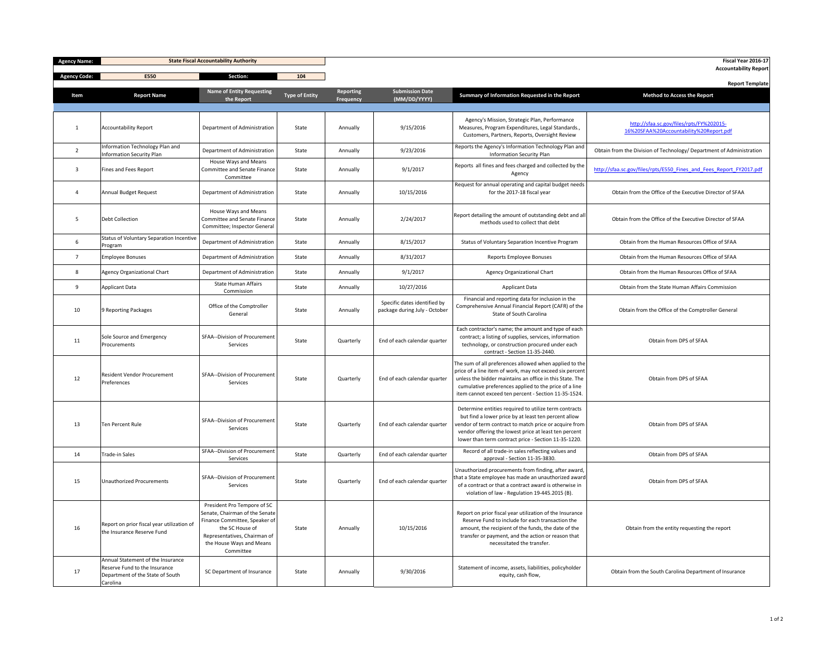| <b>Agency Name:</b> | <b>State Fiscal Accountability Authority</b>                                                                       |                                                                                                                                                                                            |                       |                                      |                                                               |                                                                                                                                                                                                                                                                                                 | Fiscal Year 2016-17                                                                 |
|---------------------|--------------------------------------------------------------------------------------------------------------------|--------------------------------------------------------------------------------------------------------------------------------------------------------------------------------------------|-----------------------|--------------------------------------|---------------------------------------------------------------|-------------------------------------------------------------------------------------------------------------------------------------------------------------------------------------------------------------------------------------------------------------------------------------------------|-------------------------------------------------------------------------------------|
| <b>Agency Code:</b> | E550                                                                                                               | Section:                                                                                                                                                                                   | 104                   |                                      |                                                               |                                                                                                                                                                                                                                                                                                 | <b>Accountability Report</b>                                                        |
| Item                | <b>Report Name</b>                                                                                                 | <b>Name of Entity Requesting</b><br>the Report                                                                                                                                             | <b>Type of Entity</b> | <b>Reporting</b><br><b>Frequency</b> | <b>Submission Date</b><br>(MM/DD/YYYY)                        | Summary of Information Requested in the Report                                                                                                                                                                                                                                                  | <b>Report Template</b><br><b>Method to Access the Report</b>                        |
|                     | <b>Accountability Report</b>                                                                                       | Department of Administration                                                                                                                                                               | State                 | Annually                             | 9/15/2016                                                     | Agency's Mission, Strategic Plan, Performance<br>Measures, Program Expenditures, Legal Standards.,<br>Customers, Partners, Reports, Oversight Review                                                                                                                                            | http://sfaa.sc.gov/files/rpts/FY%202015-<br>16%20SFAA%20Accountability%20Report.pdf |
| $\overline{2}$      | Information Technology Plan and<br><b>Information Security Plan</b>                                                | Department of Administration                                                                                                                                                               | State                 | Annually                             | 9/23/2016                                                     | Reports the Agency's Information Technology Plan and<br><b>Information Security Plan</b>                                                                                                                                                                                                        | Obtain from the Division of Technology/ Department of Administration                |
| 3                   | Fines and Fees Report                                                                                              | House Ways and Means<br><b>Committee and Senate Finance</b><br>Committee                                                                                                                   | State                 | Annually                             | 9/1/2017                                                      | Reports all fines and fees charged and collected by the<br>Agency                                                                                                                                                                                                                               | http://sfaa.sc.gov/files/rpts/E550 Fines and Fees Report FY2017.pdf                 |
|                     | Annual Budget Request                                                                                              | Department of Administration                                                                                                                                                               | State                 | Annually                             | 10/15/2016                                                    | Request for annual operating and capital budget needs<br>for the 2017-18 fiscal year                                                                                                                                                                                                            | Obtain from the Office of the Executive Director of SFAA                            |
| 5                   | Debt Collection                                                                                                    | House Ways and Means<br><b>Committee and Senate Finance</b><br>Committee; Inspector General                                                                                                | State                 | Annually                             | 2/24/2017                                                     | Report detailing the amount of outstanding debt and all<br>methods used to collect that debt                                                                                                                                                                                                    | Obtain from the Office of the Executive Director of SFAA                            |
| 6                   | Status of Voluntary Separation Incentive<br>Program                                                                | Department of Administration                                                                                                                                                               | State                 | Annually                             | 8/15/2017                                                     | <b>Status of Voluntary Separation Incentive Program</b>                                                                                                                                                                                                                                         | Obtain from the Human Resources Office of SFAA                                      |
|                     | <b>Employee Bonuses</b>                                                                                            | Department of Administration                                                                                                                                                               | State                 | Annually                             | 8/31/2017                                                     | <b>Reports Employee Bonuses</b>                                                                                                                                                                                                                                                                 | Obtain from the Human Resources Office of SFAA                                      |
| 8                   | Agency Organizational Chart                                                                                        | Department of Administration                                                                                                                                                               | State                 | Annually                             | 9/1/2017                                                      | <b>Agency Organizational Chart</b>                                                                                                                                                                                                                                                              | Obtain from the Human Resources Office of SFAA                                      |
| 9                   | Applicant Data                                                                                                     | <b>State Human Affairs</b><br>Commission                                                                                                                                                   | State                 | Annually                             | 10/27/2016                                                    | <b>Applicant Data</b>                                                                                                                                                                                                                                                                           | Obtain from the State Human Affairs Commission                                      |
| 10                  | 9 Reporting Packages                                                                                               | Office of the Comptroller<br>General                                                                                                                                                       | State                 | Annually                             | Specific dates identified by<br>package during July - October | Financial and reporting data for inclusion in the<br>Comprehensive Annual Financial Report (CAFR) of the<br>State of South Carolina                                                                                                                                                             | Obtain from the Office of the Comptroller General                                   |
| 11                  | Sole Source and Emergency<br>Procurements                                                                          | <b>SFAA--Division of Procurement</b><br>Services                                                                                                                                           | State                 | Quarterly                            | End of each calendar quarter                                  | Each contractor's name; the amount and type of each<br>contract; a listing of supplies, services, information<br>technology, or construction procured under each<br>contract - Section 11-35-2440.                                                                                              | Obtain from DPS of SFAA                                                             |
| 12                  | <b>Resident Vendor Procurement</b><br>Preferences                                                                  | SFAA--Division of Procurement<br>Services                                                                                                                                                  | State                 | Quarterly                            | End of each calendar quarter                                  | The sum of all preferences allowed when applied to the<br>price of a line item of work, may not exceed six percent<br>unless the bidder maintains an office in this State. The<br>cumulative preferences applied to the price of a line<br>item cannot exceed ten percent - Section 11-35-1524. | Obtain from DPS of SFAA                                                             |
| 13                  | Ten Percent Rule                                                                                                   | SFAA--Division of Procurement<br>Services                                                                                                                                                  | State                 | Quarterly                            | End of each calendar quarter                                  | Determine entities required to utilize term contracts<br>but find a lower price by at least ten percent allow<br>vendor of term contract to match price or acquire from<br>vendor offering the lowest price at least ten percent<br>lower than term contract price - Section 11-35-1220         | Obtain from DPS of SFAA                                                             |
| 14                  | Trade-in Sales                                                                                                     | <b>SFAA--Division of Procurement</b><br>Services                                                                                                                                           | State                 | Quarterly                            | End of each calendar quarter                                  | Record of all trade-in sales reflecting values and<br>approval - Section 11-35-3830.                                                                                                                                                                                                            | Obtain from DPS of SFAA                                                             |
| 15                  | Unauthorized Procurements                                                                                          | SFAA--Division of Procurement<br>Services                                                                                                                                                  | State                 | Quarterly                            | End of each calendar quarter                                  | Unauthorized procurements from finding, after award,<br>that a State employee has made an unauthorized award<br>of a contract or that a contract award is otherwise in<br>violation of law - Regulation 19-445.2015 (B).                                                                        | Obtain from DPS of SFAA                                                             |
| 16                  | Report on prior fiscal year utilization of<br>the Insurance Reserve Fund                                           | President Pro Tempore of SC<br>Senate, Chairman of the Senate<br>Finance Committee, Speaker of<br>the SC House of<br>Representatives, Chairman of<br>the House Ways and Means<br>Committee | State                 | Annually                             | 10/15/2016                                                    | Report on prior fiscal year utilization of the Insurance<br>Reserve Fund to include for each transaction the<br>amount, the recipient of the funds, the date of the<br>transfer or payment, and the action or reason that<br>necessitated the transfer.                                         | Obtain from the entity requesting the report                                        |
| 17                  | Annual Statement of the Insurance<br>Reserve Fund to the Insurance<br>Department of the State of South<br>Carolina | SC Department of Insurance                                                                                                                                                                 | State                 | Annually                             | 9/30/2016                                                     | Statement of income, assets, liabilities, policyholder<br>equity, cash flow,                                                                                                                                                                                                                    | Obtain from the South Carolina Department of Insurance                              |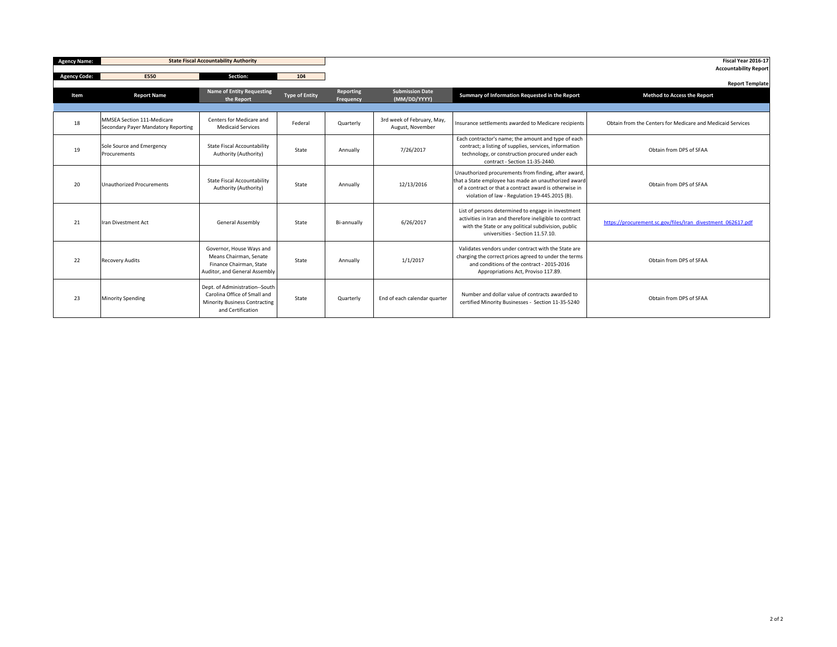| <b>Agency Name:</b> | <b>State Fiscal Accountability Authority</b>                      |                                                                                                                             |                       |                               |                                                |                                                                                                                                                                                                                          | Fiscal Year 2016-17<br><b>Accountability Report</b>          |
|---------------------|-------------------------------------------------------------------|-----------------------------------------------------------------------------------------------------------------------------|-----------------------|-------------------------------|------------------------------------------------|--------------------------------------------------------------------------------------------------------------------------------------------------------------------------------------------------------------------------|--------------------------------------------------------------|
| <b>Agency Code:</b> | E550                                                              | Section:                                                                                                                    | 104                   |                               |                                                |                                                                                                                                                                                                                          |                                                              |
| Item                | <b>Report Name</b>                                                | <b>Name of Entity Requesting</b><br>the Report                                                                              | <b>Type of Entity</b> | <b>Reporting</b><br>Frequency | <b>Submission Date</b><br>(MM/DD/YYYY)         | Summary of Information Requested in the Report                                                                                                                                                                           | <b>Report Template</b><br><b>Method to Access the Report</b> |
|                     |                                                                   |                                                                                                                             |                       |                               |                                                |                                                                                                                                                                                                                          |                                                              |
| 18                  | MMSEA Section 111-Medicare<br>Secondary Payer Mandatory Reporting | Centers for Medicare and<br><b>Medicaid Services</b>                                                                        | Federal               | Quarterly                     | 3rd week of February, May,<br>August, November | Insurance settlements awarded to Medicare recipients                                                                                                                                                                     | Obtain from the Centers for Medicare and Medicaid Services   |
| 19                  | Sole Source and Emergency<br><b>Procurements</b>                  | <b>State Fiscal Accountability</b><br>Authority (Authority)                                                                 | State                 | Annually                      | 7/26/2017                                      | Each contractor's name; the amount and type of each<br>contract; a listing of supplies, services, information<br>technology, or construction procured under each<br>contract - Section 11-35-2440.                       | Obtain from DPS of SFAA                                      |
| 20                  | Unauthorized Procurements                                         | <b>State Fiscal Accountability</b><br>Authority (Authority)                                                                 | State                 | Annually                      | 12/13/2016                                     | Unauthorized procurements from finding, after award,<br>that a State employee has made an unauthorized award<br>of a contract or that a contract award is otherwise in<br>violation of law - Regulation 19-445.2015 (B). | Obtain from DPS of SFAA                                      |
| 21                  | Iran Divestment Act                                               | <b>General Assembly</b>                                                                                                     | State                 | Bi-annually                   | 6/26/2017                                      | List of persons determined to engage in investment<br>activities in Iran and therefore ineligible to contract<br>with the State or any political subdivision, public<br>universities - Section 11.57.10.                 | https://procurement.sc.gov/files/Iran_divestment_062617.pdf  |
| 22                  | <b>Recovery Audits</b>                                            | Governor, House Ways and<br>Means Chairman, Senate<br>Finance Chairman, State<br>Auditor, and General Assembly              | State                 | Annually                      | 1/1/2017                                       | Validates vendors under contract with the State are<br>charging the correct prices agreed to under the terms<br>and conditions of the contract - 2015-2016<br>Appropriations Act, Proviso 117.89.                        | Obtain from DPS of SFAA                                      |
| 23                  | <b>Minority Spending</b>                                          | Dept. of Administration--South<br>Carolina Office of Small and<br><b>Minority Business Contracting</b><br>and Certification | State                 | Quarterly                     | End of each calendar quarter                   | Number and dollar value of contracts awarded to<br>certified Minority Businesses - Section 11-35-5240                                                                                                                    | Obtain from DPS of SFAA                                      |